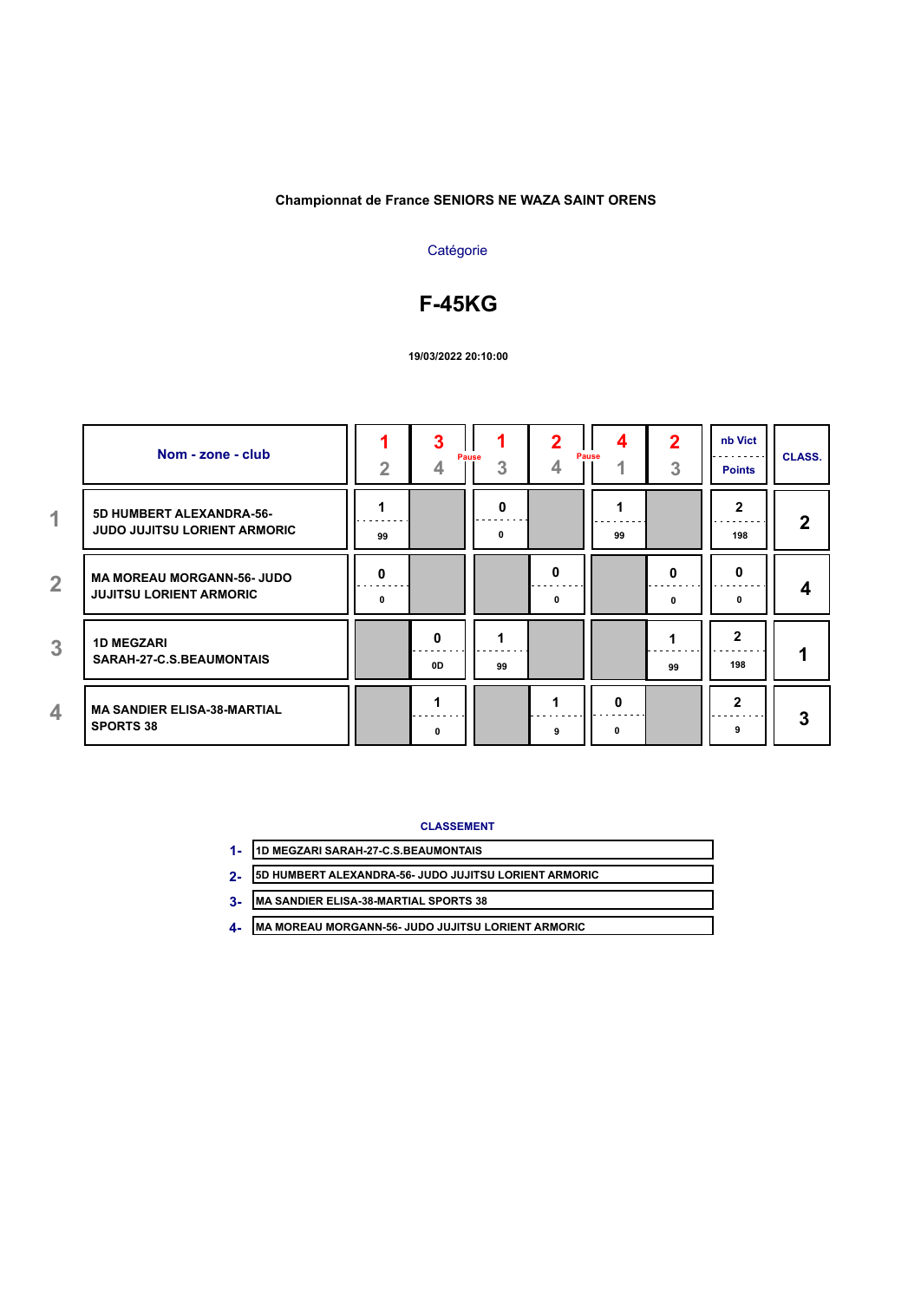# **Catégorie**

# **F-45KG**

#### **19/03/2022 20:10:00**

|                | Nom - zone - club                                                   | $\overline{2}$ | <b>Pause</b><br>4 | 3  | 2<br>4 | 4<br>Pause | $\mathbf 2$<br>3 | nb Vict<br><b>Points</b> | <b>CLASS.</b> |
|----------------|---------------------------------------------------------------------|----------------|-------------------|----|--------|------------|------------------|--------------------------|---------------|
| 1              | 5D HUMBERT ALEXANDRA-56-<br><b>JUDO JUJITSU LORIENT ARMORIC</b>     | 99             |                   | 0  |        | 99         |                  | $\mathbf{2}$<br>198      | 2             |
| $\overline{2}$ | <b>MA MOREAU MORGANN-56- JUDO</b><br><b>JUJITSU LORIENT ARMORIC</b> | 0<br>0         |                   |    | 0<br>0 |            | O<br>0           | $\bf{0}$<br>0            | 4             |
| 3              | <b>1D MEGZARI</b><br>SARAH-27-C.S.BEAUMONTAIS                       |                | 0<br>0D           | 99 |        |            | 99               | $\mathbf{2}$<br>198      |               |
| 4              | <b>MA SANDIER ELISA-38-MARTIAL</b><br><b>SPORTS 38</b>              |                | 0                 |    |        | 0<br>n     |                  | $\mathbf{2}$<br>9        | 3             |

**CLASSEMENT**

| 1D MEGZARI SARAH-27-C.S.BEAUMONTAIS |
|-------------------------------------|
|                                     |
|                                     |

**5D HUMBERT ALEXANDRA-56- JUDO JUJITSU LORIENT ARMORIC 2-**

**MA SANDIER ELISA-38-MARTIAL SPORTS 38 3-**

**MA MOREAU MORGANN-56- JUDO JUJITSU LORIENT ARMORIC 4-**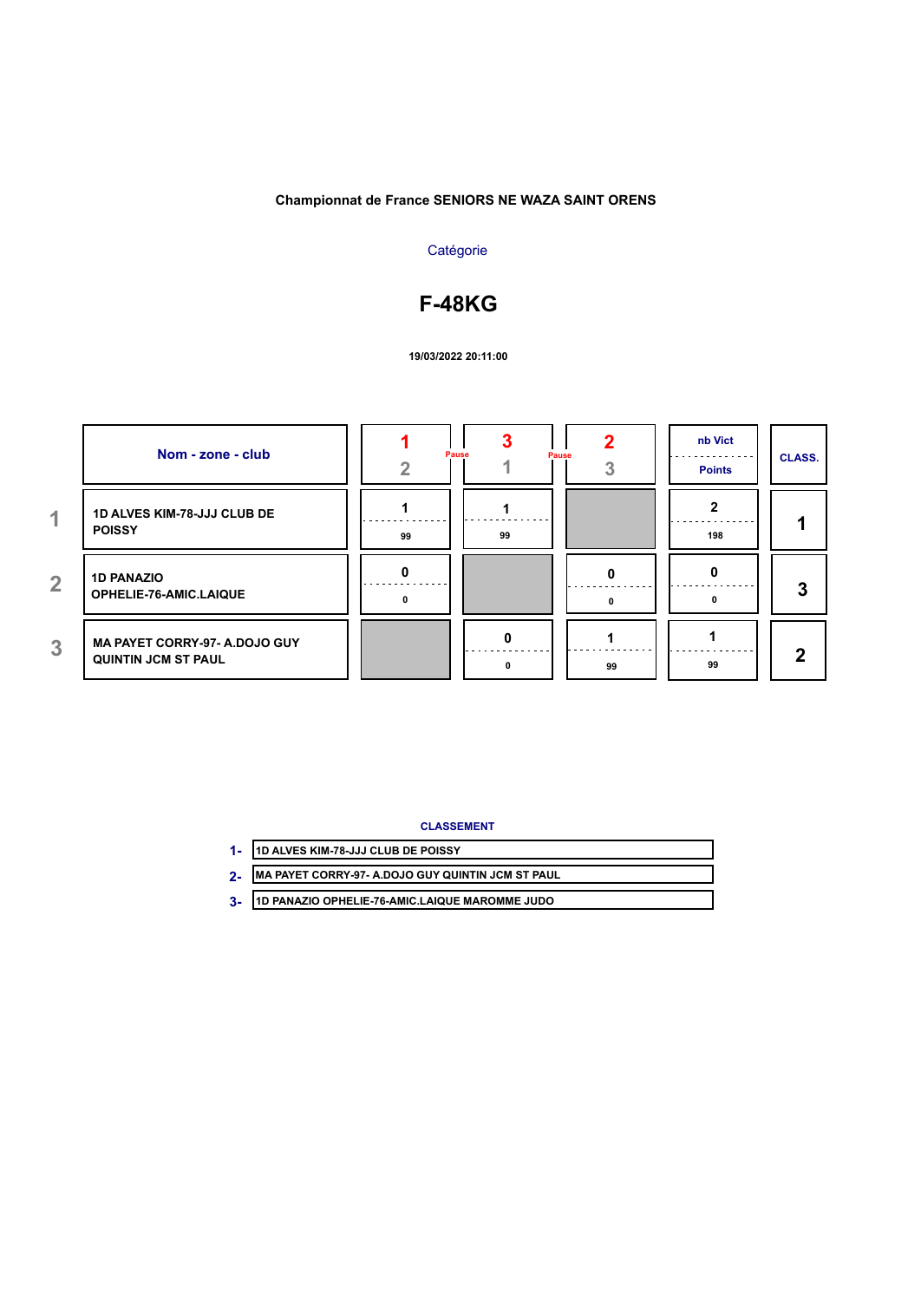# **Catégorie**

# **F-48KG**

## **19/03/2022 20:11:00**

|                | Nom - zone - club                                                  |    | Pause | <b>Pause</b> | nb Vict<br><b>Points</b> | <b>CLASS.</b> |
|----------------|--------------------------------------------------------------------|----|-------|--------------|--------------------------|---------------|
| 1              | <b>1D ALVES KIM-78-JJJ CLUB DE</b><br><b>POISSY</b>                | 99 | 99    |              | 198                      |               |
| $\overline{2}$ | <b>1D PANAZIO</b><br>OPHELIE-76-AMIC.LAIQUE                        |    |       |              |                          | 3             |
| 3              | <b>MA PAYET CORRY-97- A.DOJO GUY</b><br><b>QUINTIN JCM ST PAUL</b> |    |       | 99           | 99                       | ŋ             |

## **CLASSEMENT**

| 1D ALVES KIM-78-JJJ CLUB DE POISSY                |
|---------------------------------------------------|
| MA PAYET CORRY-97- A.DOJO GUY QUINTIN JCM ST PAUL |

**1D PANAZIO OPHELIE-76-AMIC.LAIQUE MAROMME JUDO 3-**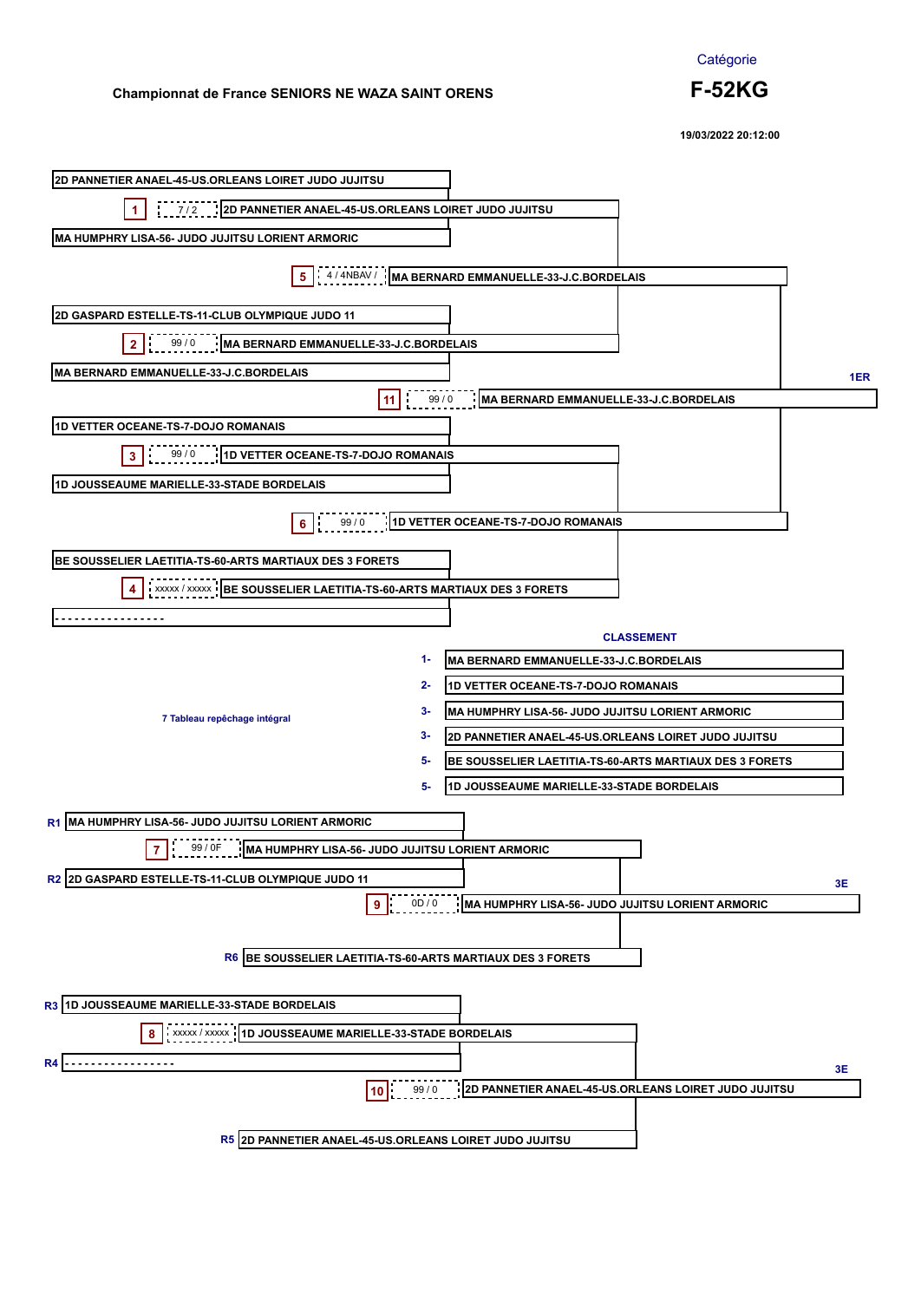

**19/03/2022 20:12:00**

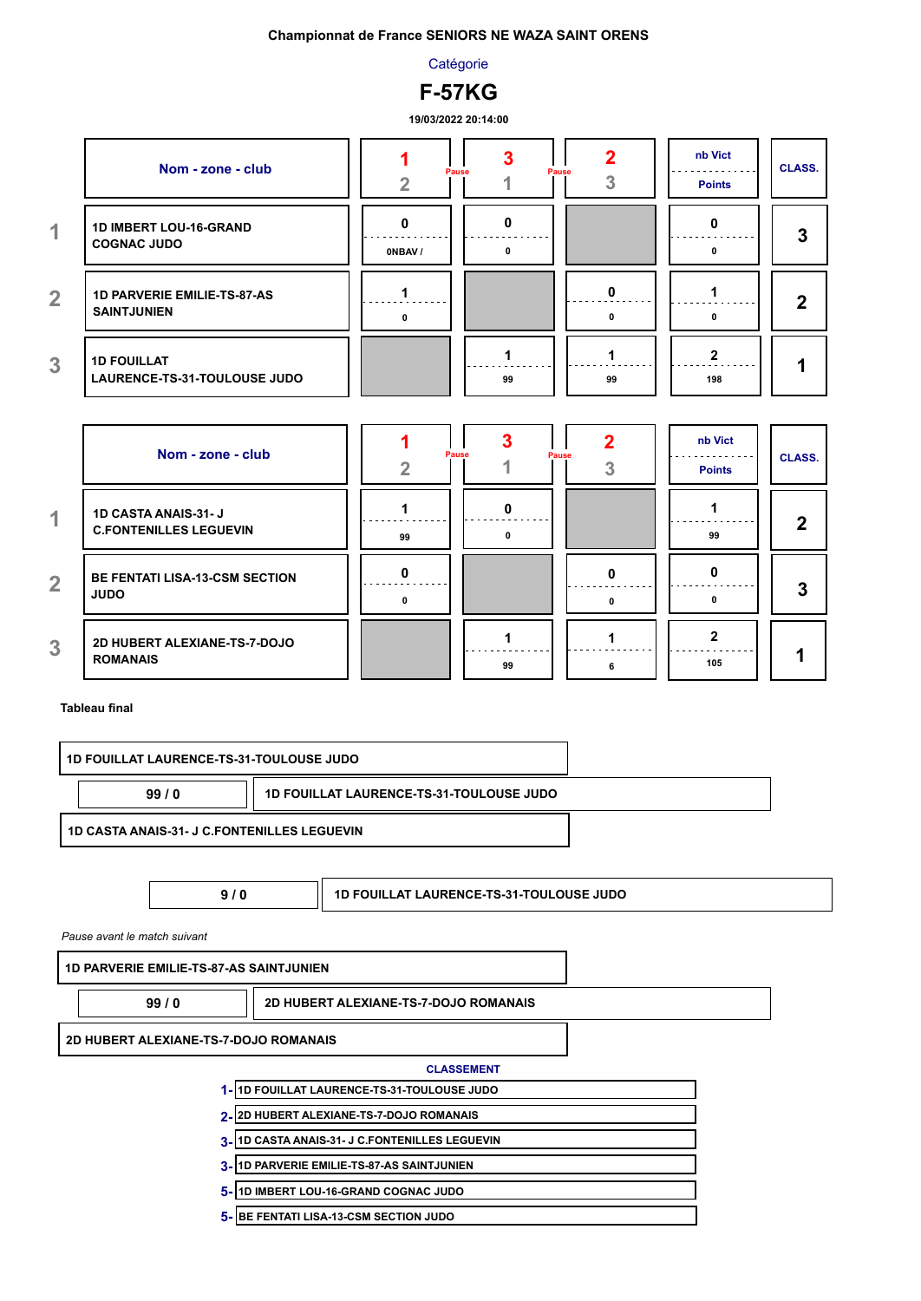**Catégorie** 



**19/03/2022 20:14:00**

|                | Nom - zone - club                                        |         | Pause<br>Pause |    | nb Vict<br><b>Points</b> | <b>CLASS.</b> |
|----------------|----------------------------------------------------------|---------|----------------|----|--------------------------|---------------|
| 1              | 1D IMBERT LOU-16-GRAND<br><b>COGNAC JUDO</b>             | ONBAV / | 0              |    |                          | 3             |
| $\overline{2}$ | <b>1D PARVERIE EMILIE-TS-87-AS</b><br><b>SAINTJUNIEN</b> | n       |                | o  | n.                       | 2             |
| 3              | <b>1D FOUILLAT</b><br>LAURENCE-TS-31-TOULOUSE JUDO       |         | 99             | 99 | 198                      |               |

|                | Nom - zone - club                                           |    | Pause<br><b>Pause</b> |   | nb Vict<br><b>Points</b> | <b>CLASS.</b> |
|----------------|-------------------------------------------------------------|----|-----------------------|---|--------------------------|---------------|
| 1              | <b>1D CASTA ANAIS-31-J</b><br><b>C.FONTENILLES LEGUEVIN</b> | 99 | n                     |   | 99                       | כי            |
| $\overline{2}$ | <b>BE FENTATI LISA-13-CSM SECTION</b><br><b>JUDO</b>        | n  |                       | n |                          |               |
| 3              | 2D HUBERT ALEXIANE-TS-7-DOJO<br><b>ROMANAIS</b>             |    | 99                    |   | 105                      |               |

**Tableau final**

| <b>1D FOUILLAT LAURENCE-TS-31-TOULOUSE JUDO</b><br>99/0 |  |
|---------------------------------------------------------|--|
| 1D CASTA ANAIS-31- J C.FONTENILLES LEGUEVIN             |  |

**9 / 0 1D FOUILLAT LAURENCE-TS-31-TOULOUSE JUDO**

*Pause avant le match suivant*

**1D PARVERIE EMILIE-TS-87-AS SAINTJUNIEN**

**99 / 0 2D HUBERT ALEXIANE-TS-7-DOJO ROMANAIS**

**2D HUBERT ALEXIANE-TS-7-DOJO ROMANAIS**

#### **CLASSEMENT**

**1D FOUILLAT LAURENCE-TS-31-TOULOUSE JUDO 1-**

**2D HUBERT ALEXIANE-TS-7-DOJO ROMANAIS 2-**

- **1D CASTA ANAIS-31- J C.FONTENILLES LEGUEVIN 3-**
- **1D PARVERIE EMILIE-TS-87-AS SAINTJUNIEN 3-**
- **1D IMBERT LOU-16-GRAND COGNAC JUDO 5-**
- **BE FENTATI LISA-13-CSM SECTION JUDO 5-**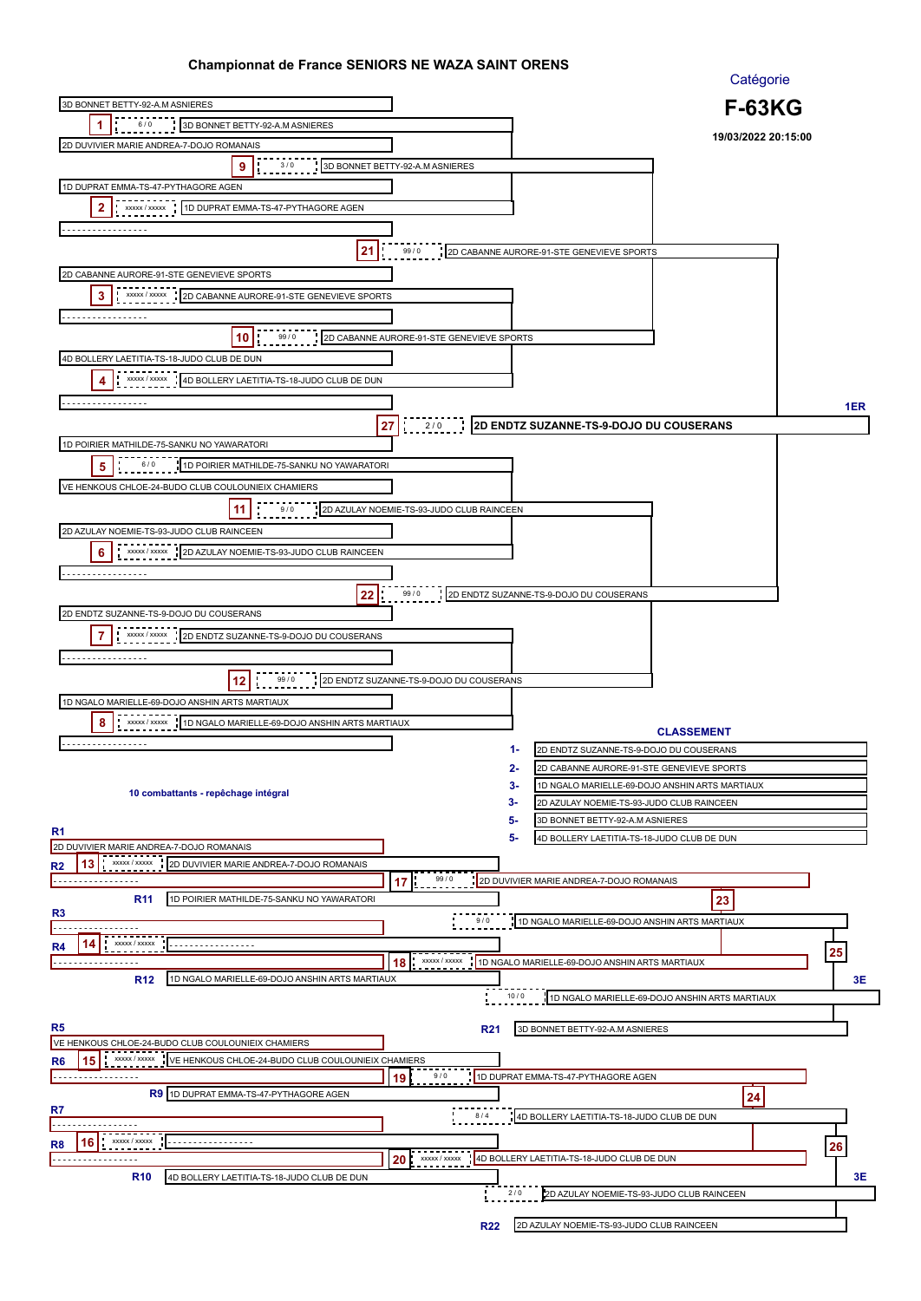|                                                                                                                           |                                           |                                                                                                   | Catégorie           |     |
|---------------------------------------------------------------------------------------------------------------------------|-------------------------------------------|---------------------------------------------------------------------------------------------------|---------------------|-----|
| 3D BONNET BETTY-92-A.M ASNIERES                                                                                           |                                           |                                                                                                   | <b>F-63KG</b>       |     |
| 6/0<br>1<br>3D BONNET BETTY-92-A.M ASNIERES                                                                               |                                           |                                                                                                   |                     |     |
| 2D DUVIVIER MARIE ANDREA-7-DOJO ROMANAIS                                                                                  |                                           |                                                                                                   | 19/03/2022 20:15:00 |     |
| 9<br>3/0                                                                                                                  | 3D BONNET BETTY-92-A.M ASNIERES           |                                                                                                   |                     |     |
|                                                                                                                           |                                           |                                                                                                   |                     |     |
| 1D DUPRAT EMMA-TS-47-PYTHAGORE AGEN                                                                                       |                                           |                                                                                                   |                     |     |
| 2<br>XXXXX / XXXXX<br>1D DUPRAT EMMA-TS-47-PYTHAGORE AGEN                                                                 |                                           |                                                                                                   |                     |     |
| .                                                                                                                         |                                           |                                                                                                   |                     |     |
| 21                                                                                                                        | 99/0                                      | 2D CABANNE AURORE-91-STE GENEVIEVE SPORTS                                                         |                     |     |
| 2D CABANNE AURORE-91-STE GENEVIEVE SPORTS                                                                                 |                                           |                                                                                                   |                     |     |
| XXXXX / XXXXX                                                                                                             |                                           |                                                                                                   |                     |     |
| 2D CABANNE AURORE-91-STE GENEVIEVE SPORTS<br>3                                                                            |                                           |                                                                                                   |                     |     |
|                                                                                                                           |                                           |                                                                                                   |                     |     |
| 10<br>99/0                                                                                                                | 2D CABANNE AURORE-91-STE GENEVIEVE SPORTS |                                                                                                   |                     |     |
| 4D BOLLERY LAETITIA-TS-18-JUDO CLUB DE DUN                                                                                |                                           |                                                                                                   |                     |     |
| XXXXX / XXXXX<br>4D BOLLERY LAETITIA-TS-18-JUDO CLUB DE DUN<br>4                                                          |                                           |                                                                                                   |                     |     |
| .                                                                                                                         |                                           |                                                                                                   |                     |     |
|                                                                                                                           |                                           |                                                                                                   |                     | 1ER |
|                                                                                                                           | $\frac{1}{2}$ 2/0<br>27                   | 2D ENDTZ SUZANNE-TS-9-DOJO DU COUSERANS                                                           |                     |     |
| 1D POIRIER MATHILDE-75-SANKU NO YAWARATORI                                                                                |                                           |                                                                                                   |                     |     |
| 6/0<br>5<br>1D POIRIER MATHILDE-75-SANKU NO YAWARATORI                                                                    |                                           |                                                                                                   |                     |     |
| VE HENKOUS CHLOE-24-BUDO CLUB COULOUNIEIX CHAMIERS                                                                        |                                           |                                                                                                   |                     |     |
| 11<br>9/0                                                                                                                 | 2D AZULAY NOEMIE-TS-93-JUDO CLUB RAINCEEN |                                                                                                   |                     |     |
| 2D AZULAY NOEMIE-TS-93-JUDO CLUB RAINCEEN                                                                                 |                                           |                                                                                                   |                     |     |
|                                                                                                                           |                                           |                                                                                                   |                     |     |
| XXXXX / XXXXX<br>6<br>2D AZULAY NOEMIE-TS-93-JUDO CLUB RAINCEEN                                                           |                                           |                                                                                                   |                     |     |
| .                                                                                                                         |                                           |                                                                                                   |                     |     |
| 22                                                                                                                        | 99/0                                      | 2D ENDTZ SUZANNE-TS-9-DOJO DU COUSERANS                                                           |                     |     |
| 2D ENDTZ SUZANNE-TS-9-DOJO DU COUSERANS                                                                                   |                                           |                                                                                                   |                     |     |
| 7<br>XXXXX / XXXXX<br>2D ENDTZ SUZANNE-TS-9-DOJO DU COUSERANS                                                             |                                           |                                                                                                   |                     |     |
| .                                                                                                                         |                                           |                                                                                                   |                     |     |
|                                                                                                                           |                                           |                                                                                                   |                     |     |
| 99/0<br>12                                                                                                                | 2D ENDTZ SUZANNE-TS-9-DOJO DU COUSERANS   |                                                                                                   |                     |     |
| 1D NGALO MARIELLE-69-DOJO ANSHIN ARTS MARTIAUX                                                                            |                                           |                                                                                                   |                     |     |
| 8<br>1D NGALO MARIELLE-69-DOJO ANSHIN ARTS MARTIAUX<br>XXXXX / XXXXX                                                      |                                           |                                                                                                   | <b>CLASSEMENT</b>   |     |
| .                                                                                                                         |                                           | 1-<br>2D ENDTZ SUZANNE-TS-9-DOJO DU COUSERANS                                                     |                     |     |
|                                                                                                                           |                                           | 2-                                                                                                |                     |     |
|                                                                                                                           |                                           | 2D CABANNE AURORE-91-STE GENEVIEVE SPORTS<br>3-<br>1D NGALO MARIELLE-69-DOJO ANSHIN ARTS MARTIAUX |                     |     |
| 10 combattants - repêchage intégral                                                                                       |                                           | 3-<br>2D AZULAY NOEMIE-TS-93-JUDO CLUB RAINCEEN                                                   |                     |     |
|                                                                                                                           |                                           | 5-<br>3D BONNET BETTY-92-A.M ASNIERES                                                             |                     |     |
| R <sub>1</sub>                                                                                                            |                                           | 5-<br>4D BOLLERY LAETITIA-TS-18-JUDO CLUB DE DUN                                                  |                     |     |
| 2D DUVIVIER MARIE ANDREA-7-DOJO ROMANAIS                                                                                  |                                           |                                                                                                   |                     |     |
| 13<br>XXXXX / XXXXX<br>2D DUVIVIER MARIE ANDREA-7-DOJO ROMANAIS<br>R <sub>2</sub>                                         |                                           |                                                                                                   |                     |     |
| .                                                                                                                         | 99/0<br>17                                | 2D DUVIVIER MARIE ANDREA-7-DOJO ROMANAIS                                                          |                     |     |
| 1D POIRIER MATHILDE-75-SANKU NO YAWARATORI<br><b>R11</b><br>R <sub>3</sub>                                                |                                           |                                                                                                   | 23                  |     |
|                                                                                                                           | 9/0                                       | 1D NGALO MARIELLE-69-DOJO ANSHIN ARTS MARTIAUX                                                    |                     |     |
| XXXXX / XXXXX<br>R4                                                                                                       |                                           |                                                                                                   |                     |     |
| .                                                                                                                         | xxxxx / xxxxx<br>18                       | 1D NGALO MARIELLE-69-DOJO ANSHIN ARTS MARTIAUX                                                    |                     | 25  |
| 1D NGALO MARIELLE-69-DOJO ANSHIN ARTS MARTIAUX<br><b>R12</b>                                                              |                                           |                                                                                                   |                     | 3E  |
|                                                                                                                           |                                           | 10/0<br>1D NGALO MARIELLE-69-DOJO ANSHIN ARTS MARTIAUX                                            |                     |     |
|                                                                                                                           |                                           |                                                                                                   |                     |     |
| R5                                                                                                                        | <b>R21</b>                                | 3D BONNET BETTY-92-A.M ASNIERES                                                                   |                     |     |
| VE HENKOUS CHLOE-24-BUDO CLUB COULOUNIEIX CHAMIERS<br>XXXXX / XXXXX<br>VE HENKOUS CHLOE-24-BUDO CLUB COULOUNIEIX CHAMIERS |                                           |                                                                                                   |                     |     |
| R6<br>15                                                                                                                  | 9/0<br>19                                 | 1D DUPRAT EMMA-TS-47-PYTHAGORE AGEN                                                               |                     |     |
| R9 1D DUPRAT EMMA-TS-47-PYTHAGORE AGEN                                                                                    |                                           |                                                                                                   | 24                  |     |
| R7                                                                                                                        |                                           |                                                                                                   |                     |     |
|                                                                                                                           | 8/4                                       | 4D BOLLERY LAETITIA-TS-18-JUDO CLUB DE DUN                                                        |                     |     |
| XXXXX / XXXXX<br>16<br>R8<br><u>.</u>                                                                                     |                                           |                                                                                                   |                     | 26  |
| . <u>.</u>                                                                                                                | XXXXX / XXXXX<br>20                       | 4D BOLLERY LAETITIA-TS-18-JUDO CLUB DE DUN                                                        |                     |     |
| <b>R10</b><br>4D BOLLERY LAETITIA-TS-18-JUDO CLUB DE DUN                                                                  |                                           |                                                                                                   |                     | 3Е  |
|                                                                                                                           |                                           | 2/0<br>2D AZULAY NOEMIE-TS-93-JUDO CLUB RAINCEEN                                                  |                     |     |
|                                                                                                                           | <b>R22</b>                                | 2D AZULAY NOEMIE-TS-93-JUDO CLUB RAINCEEN                                                         |                     |     |
|                                                                                                                           |                                           |                                                                                                   |                     |     |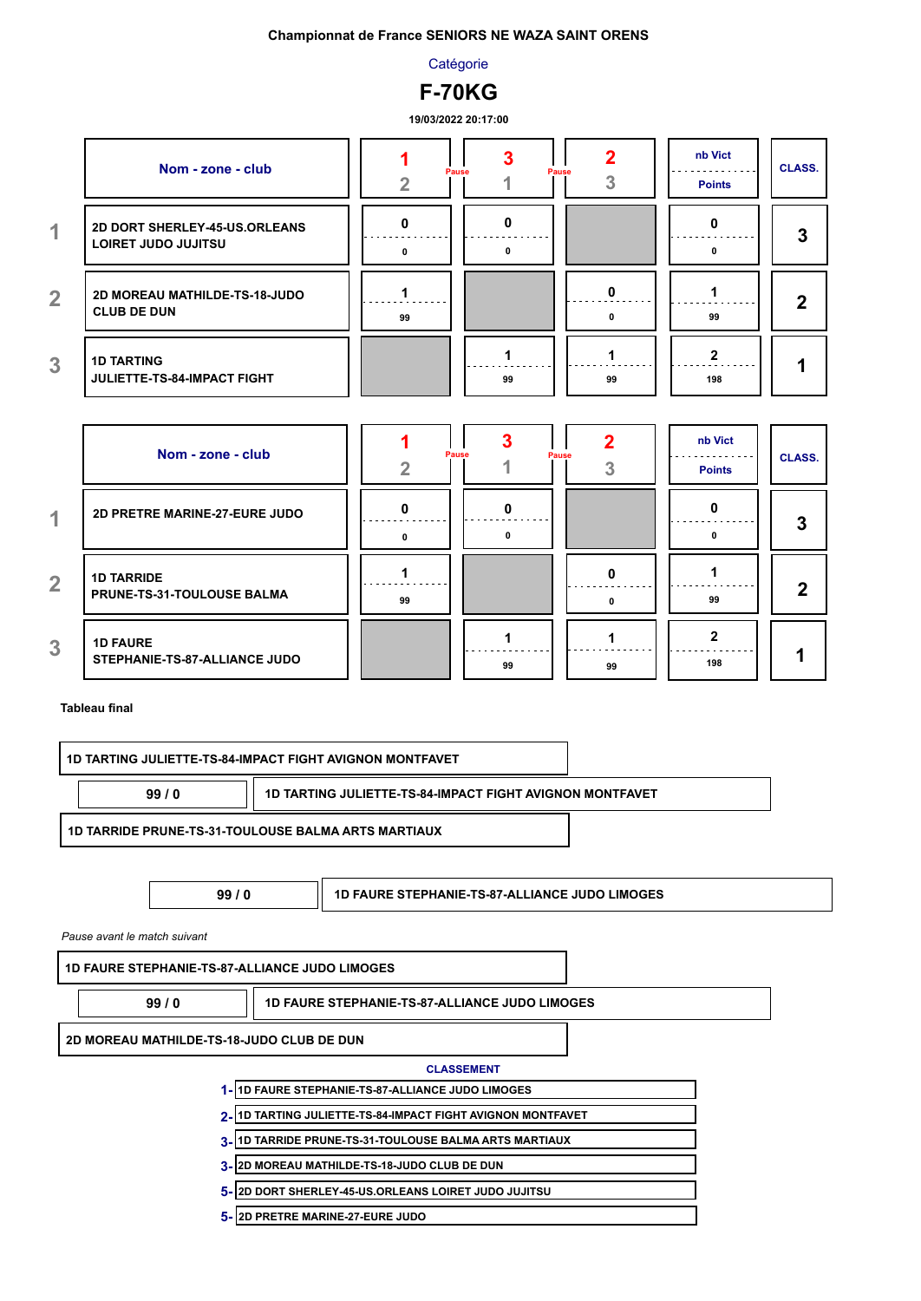**Catégorie** 



**19/03/2022 20:17:00**

|                | Nom - zone - club                                           |    | Pause<br>Pause | כי | nb Vict<br><b>Points</b> | <b>CLASS.</b> |
|----------------|-------------------------------------------------------------|----|----------------|----|--------------------------|---------------|
| 4              | <b>2D DORT SHERLEY-45-US.ORLEANS</b><br>LOIRET JUDO JUJITSU |    | 0              |    |                          | כי            |
| $\overline{2}$ | 2D MOREAU MATHILDE-TS-18-JUDO<br><b>CLUB DE DUN</b>         | 99 |                |    | 99                       | כי            |
| 3              | <b>1D TARTING</b><br>JULIETTE-TS-84-IMPACT FIGHT            |    | 99             | 99 | 198                      |               |

|                | Nom - zone - club                                      |    | <b>Pause</b><br><b>Pause</b> |    | nb Vict<br><b>Points</b> | <b>CLASS.</b> |
|----------------|--------------------------------------------------------|----|------------------------------|----|--------------------------|---------------|
| 1              | 2D PRETRE MARINE-27-EURE JUDO                          | 0  | 0                            |    |                          | 3             |
| $\overline{2}$ | <b>1D TARRIDE</b><br><b>PRUNE-TS-31-TOULOUSE BALMA</b> | 99 |                              | 0  | 99                       | 0             |
| $\overline{3}$ | <b>1D FAURE</b><br>STEPHANIE-TS-87-ALLIANCE JUDO       |    | 99                           | 99 | 198                      |               |

#### **Tableau final**

|                                                       | 1D TARTING JULIETTE-TS-84-IMPACT FIGHT AVIGNON MONTFAVET    |
|-------------------------------------------------------|-------------------------------------------------------------|
| 99/0                                                  | 1D TARTING JULIETTE-TS-84-IMPACT FIGHT AVIGNON MONTFAVET    |
|                                                       | <b>1D TARRIDE PRUNE-TS-31-TOULOUSE BALMA ARTS MARTIAUX</b>  |
| 99/0                                                  | <b>1D FAURE STEPHANIE-TS-87-ALLIANCE JUDO LIMOGES</b>       |
| Pause avant le match suivant                          |                                                             |
| <b>1D FAURE STEPHANIE-TS-87-ALLIANCE JUDO LIMOGES</b> |                                                             |
| 99/0                                                  | <b>1D FAURE STEPHANIE-TS-87-ALLIANCE JUDO LIMOGES</b>       |
| 2D MOREAU MATHILDE-TS-18-JUDO CLUB DE DUN             |                                                             |
|                                                       | <b>CLASSEMENT</b>                                           |
|                                                       | 1-11D FAURE STEPHANIE-TS-87-ALLIANCE JUDO LIMOGES           |
|                                                       | 2-11D TARTING JULIETTE-TS-84-IMPACT FIGHT AVIGNON MONTFAVET |

- **1D TARRIDE PRUNE-TS-31-TOULOUSE BALMA ARTS MARTIAUX 3-**
- **2D MOREAU MATHILDE-TS-18-JUDO CLUB DE DUN 3-**
- **2D DORT SHERLEY-45-US.ORLEANS LOIRET JUDO JUJITSU 5-**
- **2D PRETRE MARINE-27-EURE JUDO 5-**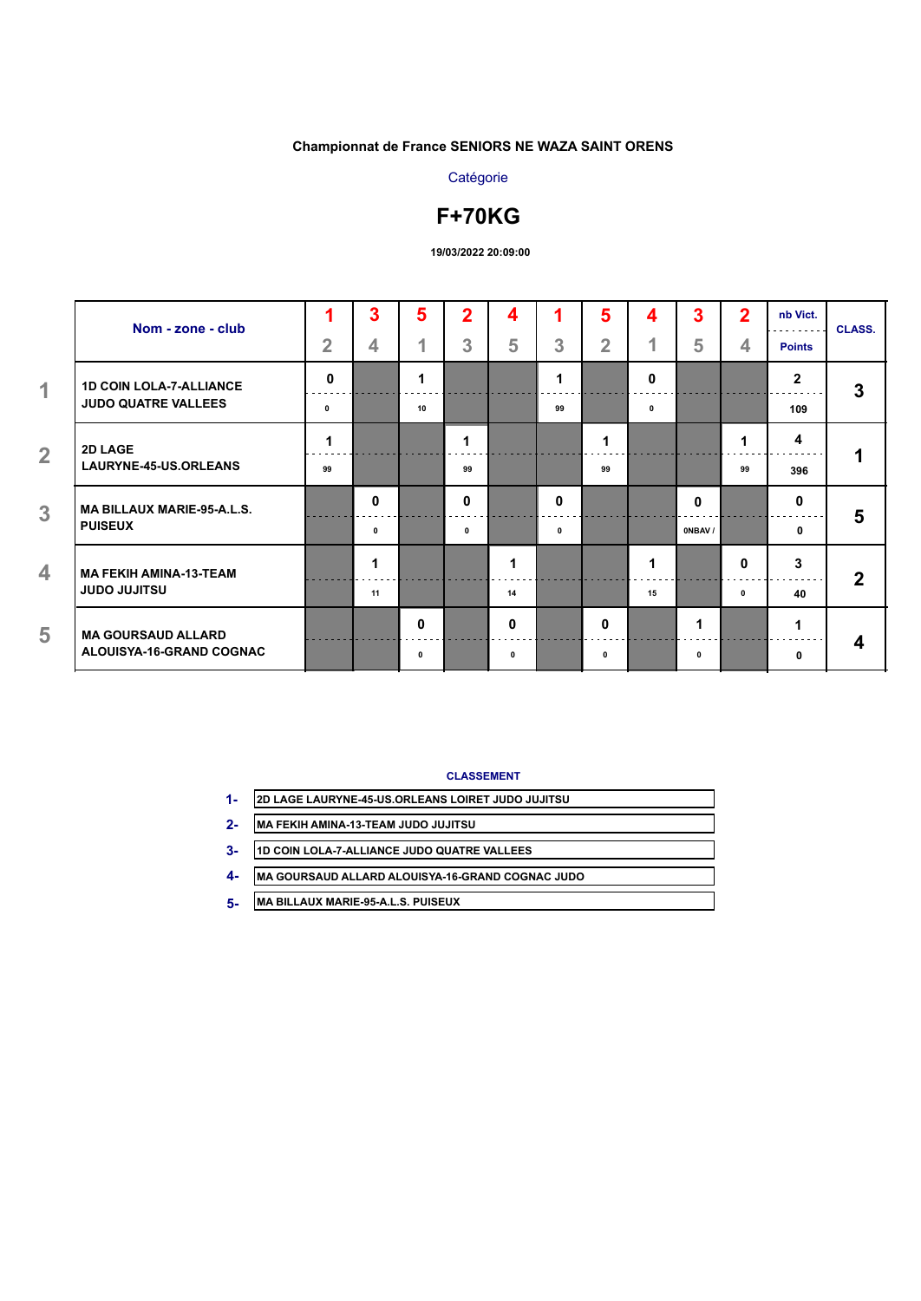# **Catégorie**

# **F+70KG**

**19/03/2022 20:09:00**

| Nom - zone - club                 |                | 3                       | 5            | $\overline{2}$ | 4            | 1            | 5              | 4  | 3      | $\overline{2}$ | nb Vict.       | <b>CLASS.</b> |
|-----------------------------------|----------------|-------------------------|--------------|----------------|--------------|--------------|----------------|----|--------|----------------|----------------|---------------|
|                                   | $\overline{2}$ | $\overline{\mathbf{4}}$ | 1            | 3              | 5            | 3            | $\overline{2}$ | 1  | 5      | 4              | <b>Points</b>  |               |
| <b>1D COIN LOLA-7-ALLIANCE</b>    | $\mathbf{0}$   |                         | 1            |                |              | 1            |                | 0  |        |                | $\overline{2}$ | 3             |
| <b>JUDO QUATRE VALLEES</b>        | 0              |                         | 10           |                |              | 99           |                | 0  |        |                | 109            |               |
| 2D LAGE                           | 1              |                         |              | 1              |              |              |                |    |        | 1              | 4              |               |
| LAURYNE-45-US.ORLEANS             | 99             |                         |              | 99             |              |              | 99             |    |        | 99             | 396            | 1             |
| <b>MA BILLAUX MARIE-95-A.L.S.</b> |                | $\bf{0}$                |              | $\bf{0}$       |              | $\mathbf{0}$ |                |    | 0      |                | 0              | 5             |
| <b>PUISEUX</b>                    |                | 0                       |              | 0              |              | $\mathbf{0}$ |                |    | ONBAV/ |                | 0              |               |
| <b>MA FEKIH AMINA-13-TEAM</b>     |                | 1                       |              |                | 1            |              |                | 1  |        | 0              | 3              | $\mathbf 2$   |
| <b>UZTILUL OQUL</b>               |                | 11                      |              |                | 14           |              |                | 15 |        | 0              | 40             |               |
| <b>MA GOURSAUD ALLARD</b>         |                |                         | $\mathbf{0}$ |                | $\bf{0}$     |              | $\mathbf{0}$   |    | 1      |                | 1              |               |
| ALOUISYA-16-GRAND COGNAC          |                |                         | 0            |                | $\mathbf{0}$ |              | 0              |    | 0      |                | 0              | 4             |

#### **CLASSEMENT**

- **2D LAGE LAURYNE-45-US.ORLEANS LOIRET JUDO JUJITSU 1-**
- **MA FEKIH AMINA-13-TEAM JUDO JUJITSU 2-**
- **1D COIN LOLA-7-ALLIANCE JUDO QUATRE VALLEES 3-**
- **MA GOURSAUD ALLARD ALOUISYA-16-GRAND COGNAC JUDO 4-**
- **MA BILLAUX MARIE-95-A.L.S. PUISEUX 5-**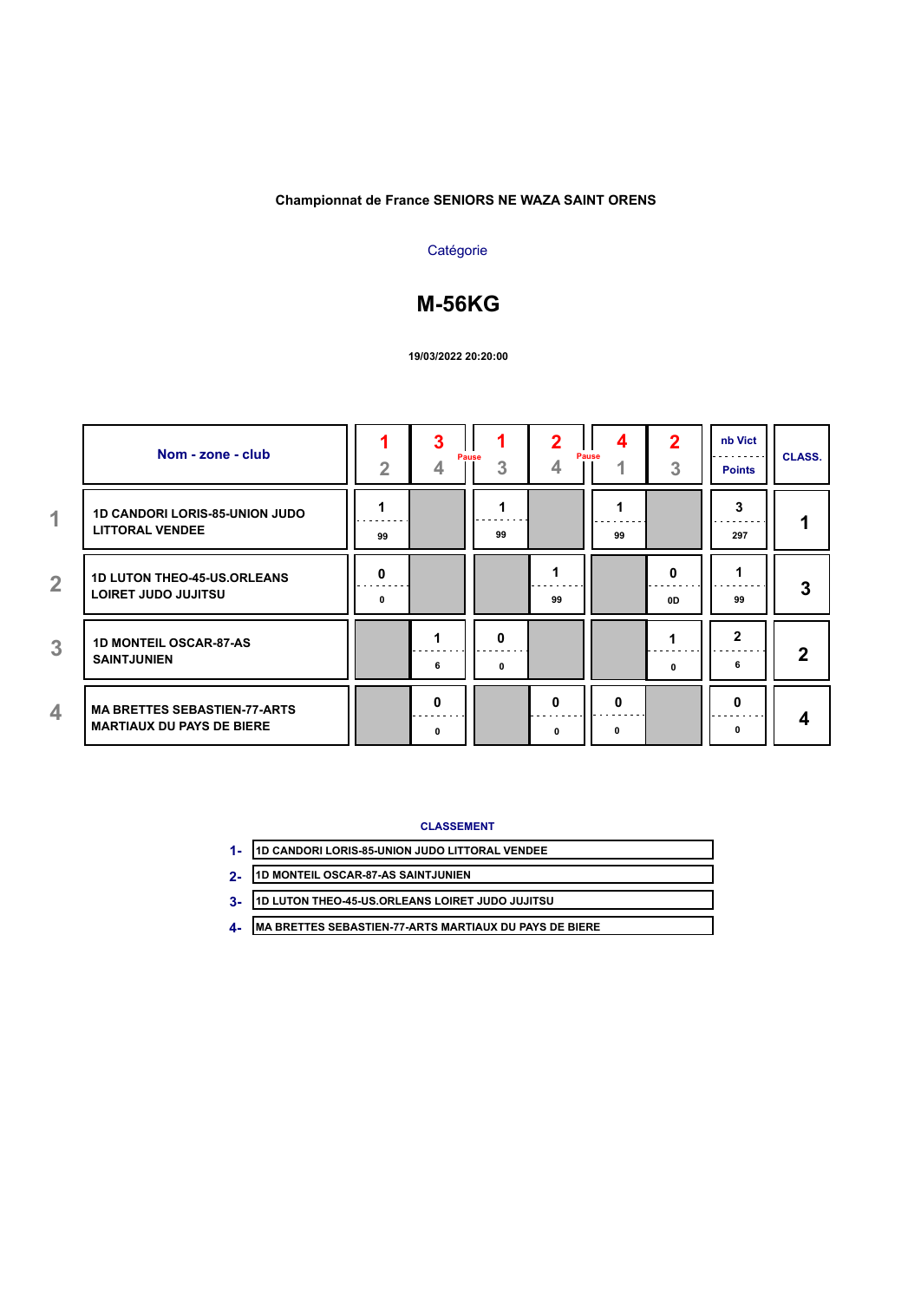# **Catégorie**

# **M-56KG**

#### **19/03/2022 20:20:00**

|                | Nom - zone - club                                                       | $\overline{2}$ | 3<br><b>Pause</b><br>4 | 3      | 2<br>4 | 4<br>Pause | 2<br>3  | nb Vict<br><b>Points</b> | <b>CLASS.</b> |
|----------------|-------------------------------------------------------------------------|----------------|------------------------|--------|--------|------------|---------|--------------------------|---------------|
| 1              | <b>1D CANDORI LORIS-85-UNION JUDO</b><br><b>LITTORAL VENDEE</b>         | 99             |                        | 99     |        | 99         |         | 3<br>297                 |               |
| $\overline{2}$ | <b>1D LUTON THEO-45-US.ORLEANS</b><br>LOIRET JUDO JUJITSU               | O<br>$\Omega$  |                        |        | 99     |            | 0<br>0D | 99                       | 3             |
| 3              | <b>1D MONTEIL OSCAR-87-AS</b><br><b>SAINTJUNIEN</b>                     |                | 6                      | o<br>0 |        |            | 0       | $\mathbf{2}$<br>6        | 2             |
| 4              | <b>MA BRETTES SEBASTIEN-77-ARTS</b><br><b>MARTIAUX DU PAYS DE BIERE</b> |                | O<br><sup>0</sup>      |        | 0<br>0 | 0<br>0     |         | 0<br>0                   | 4             |

**CLASSEMENT**

| 1- 1D CANDORI LORIS-85-UNION JUDO LITTORAL VENDEE |
|---------------------------------------------------|
| 2. 1D MONTEIL OSCAR-87-AS SAINTJUNIEN             |

- **1D MONTEIL OSCAR-87-AS SAINTJUNIEN 2-**
- **1D LUTON THEO-45-US.ORLEANS LOIRET JUDO JUJITSU 3-**
- **MA BRETTES SEBASTIEN-77-ARTS MARTIAUX DU PAYS DE BIERE 4-**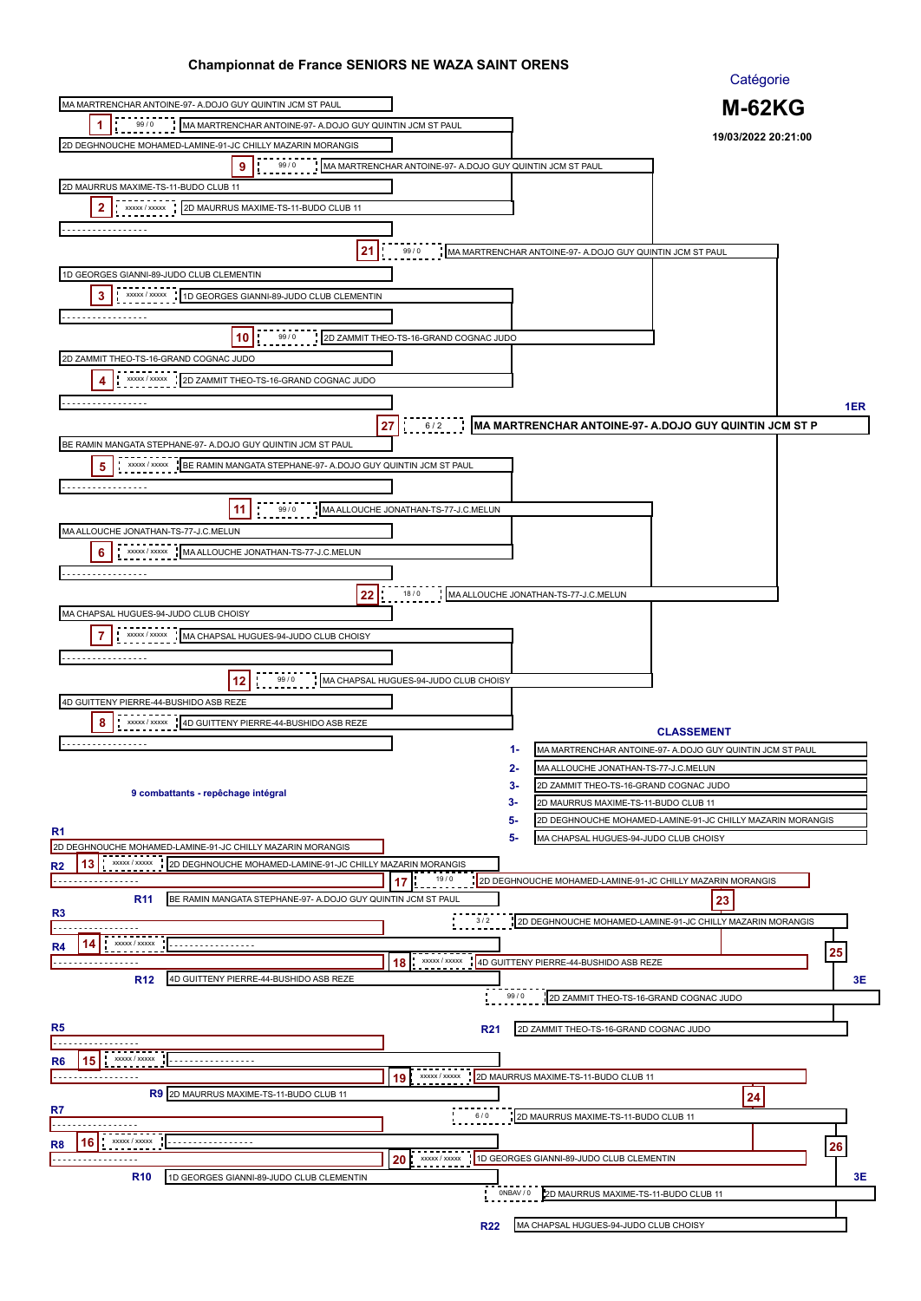|                                                                                                            |                                                           | Catégorie                                                                                                     |     |
|------------------------------------------------------------------------------------------------------------|-----------------------------------------------------------|---------------------------------------------------------------------------------------------------------------|-----|
| MA MARTRENCHAR ANTOINE-97- A DOJO GUY QUINTIN JCM ST PAUL                                                  |                                                           | <b>M-62KG</b>                                                                                                 |     |
| 99/0<br>1<br>MA MARTRENCHAR ANTOINE-97- A.DOJO GUY QUINTIN JCM ST PAUL                                     |                                                           |                                                                                                               |     |
| 2D DEGHNOUCHE MOHAMED-LAMINE-91-JC CHILLY MAZARIN MORANGIS                                                 |                                                           | 19/03/2022 20:21:00                                                                                           |     |
| 9<br>99/0                                                                                                  | MA MARTRENCHAR ANTOINE-97- A DOJO GUY QUINTIN JCM ST PAUL |                                                                                                               |     |
| 2D MAURRUS MAXIME-TS-11-BUDO CLUB 11                                                                       |                                                           |                                                                                                               |     |
| 2<br>xxxxx / xxxxx<br>2D MAURRUS MAXIME-TS-11-BUDO CLUB 11                                                 |                                                           |                                                                                                               |     |
| .                                                                                                          |                                                           |                                                                                                               |     |
| 21                                                                                                         | 99/0                                                      | MA MARTRENCHAR ANTOINE-97- A DOJO GUY QUINTIN JCM ST PAUL                                                     |     |
|                                                                                                            |                                                           |                                                                                                               |     |
| 1D GEORGES GIANNI-89-JUDO CLUB CLEMENTIN                                                                   |                                                           |                                                                                                               |     |
| 3<br>1D GEORGES GIANNI-89-JUDO CLUB CLEMENTIN<br>XXXXX / XXXXX                                             |                                                           |                                                                                                               |     |
|                                                                                                            |                                                           |                                                                                                               |     |
| 10<br>99/0                                                                                                 | 2D ZAMMIT THEO-TS-16-GRAND COGNAC JUDO                    |                                                                                                               |     |
| 2D ZAMMIT THEO-TS-16-GRAND COGNAC JUDO                                                                     |                                                           |                                                                                                               |     |
| XXXXX / XXXXX<br>2D ZAMMIT THEO-TS-16-GRAND COGNAC JUDO<br>4                                               |                                                           |                                                                                                               |     |
| .                                                                                                          |                                                           |                                                                                                               | 1ER |
|                                                                                                            | 27<br>6/2                                                 | MA MARTRENCHAR ANTOINE-97- A.DOJO GUY QUINTIN JCM ST P                                                        |     |
| BE RAMIN MANGATA STEPHANE-97- A.DOJO GUY QUINTIN JCM ST PAUL                                               |                                                           |                                                                                                               |     |
| XXXXX / XXXXX<br>BE RAMIN MANGATA STEPHANE-97- A.DOJO GUY QUINTIN JCM ST PAUL<br>5                         |                                                           |                                                                                                               |     |
| .                                                                                                          |                                                           |                                                                                                               |     |
| -11<br>99/0                                                                                                | MA ALLOUCHE JONATHAN-TS-77-J.C.MELUN                      |                                                                                                               |     |
|                                                                                                            |                                                           |                                                                                                               |     |
| MA ALLOUCHE JONATHAN-TS-77-J.C.MELUN                                                                       |                                                           |                                                                                                               |     |
| XXXXX / XXXXX<br>6<br>MA ALLOUCHE JONATHAN-TS-77-J.C.MELUN                                                 |                                                           |                                                                                                               |     |
| .                                                                                                          |                                                           |                                                                                                               |     |
| 22                                                                                                         | 18/0                                                      | MA ALLOUCHE JONATHAN-TS-77-J.C.MELUN                                                                          |     |
| MA CHAPSAL HUGUES-94-JUDO CLUB CHOISY                                                                      |                                                           |                                                                                                               |     |
| 7<br>XXXXX / XXXXX<br>MA CHAPSAL HUGUES-94-JUDO CLUB CHOISY                                                |                                                           |                                                                                                               |     |
| .                                                                                                          |                                                           |                                                                                                               |     |
| 99 / 0<br>12                                                                                               | MA CHAPSAL HUGUES-94-JUDO CLUB CHOISY                     |                                                                                                               |     |
| 4D GUITTENY PIERRE-44-BUSHIDO ASB REZE                                                                     |                                                           |                                                                                                               |     |
| 8<br>4D GUITTENY PIERRE-44-BUSHIDO ASB REZE<br>XXXXX / XXXXX                                               |                                                           |                                                                                                               |     |
| .                                                                                                          |                                                           | <b>CLASSEMENT</b>                                                                                             |     |
|                                                                                                            |                                                           | 1-<br>MA MARTRENCHAR ANTOINE-97- A.DOJO GUY QUINTIN JCM ST PAUL<br>2-<br>MA ALLOUCHE JONATHAN-TS-77-J.C.MELUN |     |
|                                                                                                            |                                                           | 3-<br>2D ZAMMIT THEO-TS-16-GRAND COGNAC JUDO                                                                  |     |
| 9 combattants - repêchage intégral                                                                         |                                                           | 3-<br>2D MAURRUS MAXIME-TS-11-BUDO CLUB 11                                                                    |     |
|                                                                                                            |                                                           | 5-<br>2D DEGHNOUCHE MOHAMED-LAMINE-91-JC CHILLY MAZARIN MORANGIS                                              |     |
| R <sub>1</sub><br>2D DEGHNOUCHE MOHAMED-LAMINE-91-JC CHILLY MAZARIN MORANGIS                               |                                                           | 5-<br>MA CHAPSAL HUGUES-94-JUDO CLUB CHOISY                                                                   |     |
| 13<br><b>XXXXX / XXXXX</b><br>2D DEGHNOUCHE MOHAMED-LAMINE-91-JC CHILLY MAZARIN MORANGIS<br>R <sub>2</sub> |                                                           |                                                                                                               |     |
| .                                                                                                          | 19/0<br>17                                                | 2D DEGHNOUCHE MOHAMED-LAMINE-91-JC CHILLY MAZARIN MORANGIS                                                    |     |
| BE RAMIN MANGATA STEPHANE-97- A.DOJO GUY QUINTIN JCM ST PAUL<br><b>R11</b>                                 |                                                           | 23                                                                                                            |     |
| R <sub>3</sub>                                                                                             | 3/2                                                       | 2D DEGHNOUCHE MOHAMED-LAMINE-91-JC CHILLY MAZARIN MORANGIS                                                    |     |
| XXXXX / XXXXX<br>14<br>R4<br>.                                                                             |                                                           |                                                                                                               |     |
| .                                                                                                          | xxxxx / xxxxx<br>18                                       | 4D GUITTENY PIERRE-44-BUSHIDO ASB REZE                                                                        | 25  |
| 4D GUITTENY PIERRE-44-BUSHIDO ASB REZE<br><b>R12</b>                                                       |                                                           |                                                                                                               | 3E  |
|                                                                                                            |                                                           | 99/0<br>2D ZAMMIT THEO-TS-16-GRAND COGNAC JUDO                                                                |     |
| R5                                                                                                         |                                                           |                                                                                                               |     |
|                                                                                                            | <b>R21</b>                                                | 2D ZAMMIT THEO-TS-16-GRAND COGNAC JUDO                                                                        |     |
| XXXXX / XXXXX<br>15<br>R6                                                                                  |                                                           |                                                                                                               |     |
| .                                                                                                          | XXXXX / XXXXX<br>19                                       | 2D MAURRUS MAXIME-TS-11-BUDO CLUB 11                                                                          |     |
| R9 2D MAURRUS MAXIME-TS-11-BUDO CLUB 11                                                                    |                                                           | 24                                                                                                            |     |
| R7                                                                                                         | 6/0                                                       | 2D MAURRUS MAXIME-TS-11-BUDO CLUB 11                                                                          |     |
| XXXXX / XXXXX<br>16<br>R8<br><u>.</u> .                                                                    |                                                           |                                                                                                               |     |
| .                                                                                                          | XXXXX / XXXXX<br>20                                       | 1D GEORGES GIANNI-89-JUDO CLUB CLEMENTIN                                                                      | 26  |
| <b>R10</b><br>1D GEORGES GIANNI-89-JUDO CLUB CLEMENTIN                                                     |                                                           |                                                                                                               | 3Е  |
|                                                                                                            |                                                           | ONBAV / 0<br>2D MAURRUS MAXIME-TS-11-BUDO CLUB 11                                                             |     |
|                                                                                                            |                                                           |                                                                                                               |     |
|                                                                                                            | <b>R22</b>                                                | MA CHAPSAL HUGUES-94-JUDO CLUB CHOISY                                                                         |     |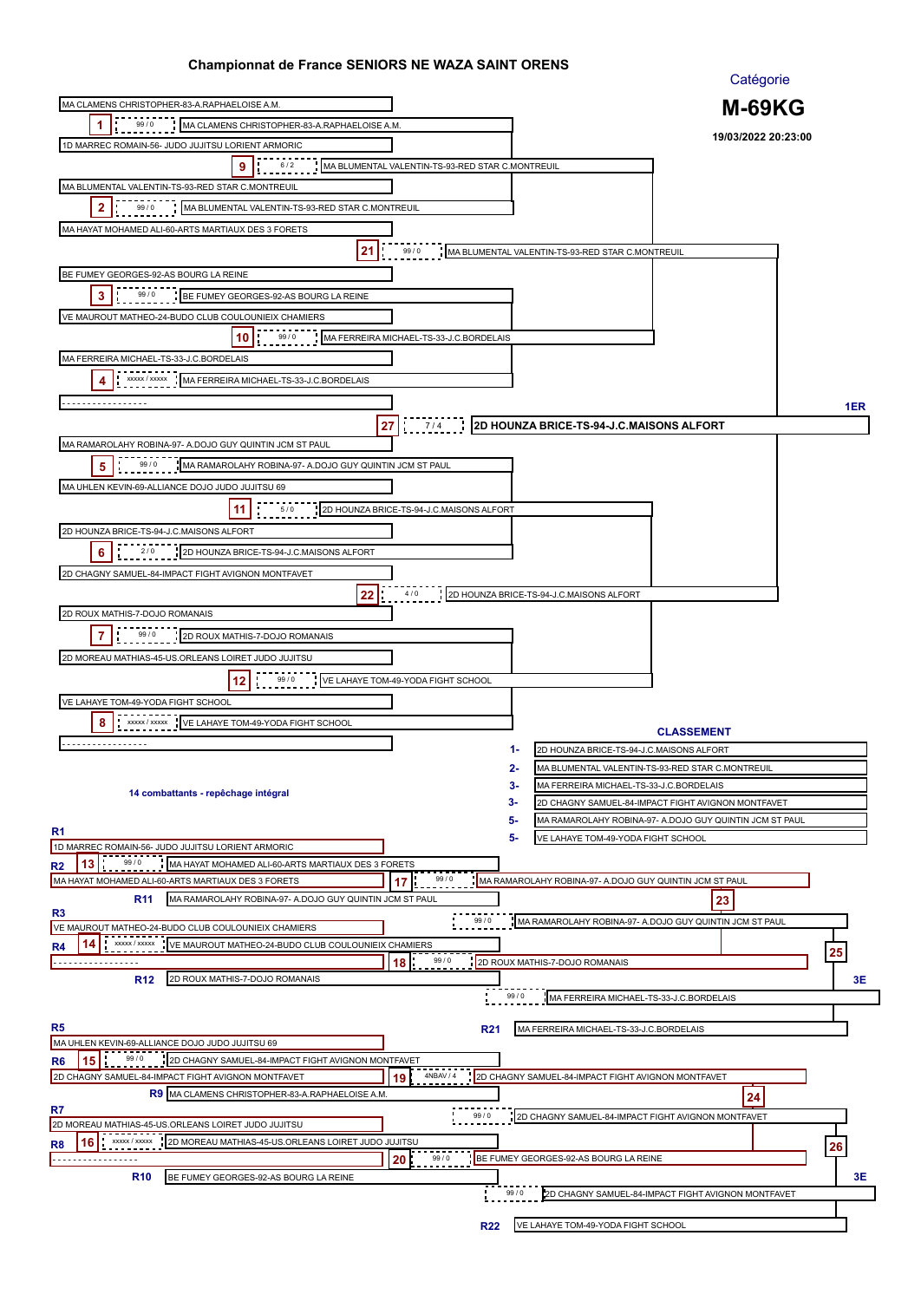|                                                                                                               |                                                  |                                                         | Catégorie                                               |     |
|---------------------------------------------------------------------------------------------------------------|--------------------------------------------------|---------------------------------------------------------|---------------------------------------------------------|-----|
| MA CLAMENS CHRISTOPHER-83-A.RAPHAELOISE A.M.                                                                  |                                                  |                                                         | <b>M-69KG</b>                                           |     |
| 99/0<br>1<br>MA CLAMENS CHRISTOPHER-83-A.RAPHAELOISE A.M.                                                     |                                                  |                                                         |                                                         |     |
| 1D MARREC ROMAIN-56- JUDO JUJITSU LORIENT ARMORIC                                                             |                                                  |                                                         | 19/03/2022 20:23:00                                     |     |
| 9<br>6/2                                                                                                      | MA BLUMENTAL VALENTIN-TS-93-RED STAR C.MONTREUIL |                                                         |                                                         |     |
| MA BLUMENTAL VALENTIN-TS-93-RED STAR C.MONTREUIL                                                              |                                                  |                                                         |                                                         |     |
| 2<br>99/0<br>MA BLUMENTAL VALENTIN-TS-93-RED STAR C.MONTREUIL                                                 |                                                  |                                                         |                                                         |     |
| MA HAYAT MOHAMED ALI-60-ARTS MARTIAUX DES 3 FORETS                                                            |                                                  |                                                         |                                                         |     |
|                                                                                                               |                                                  |                                                         |                                                         |     |
| 21                                                                                                            | 99/0                                             | MA BLUMENTAL VALENTIN-TS-93-RED STAR C.MONTREUIL        |                                                         |     |
| BE FUMEY GEORGES-92-AS BOURG LA REINE                                                                         |                                                  |                                                         |                                                         |     |
| 3<br>99/0<br>BE FUMEY GEORGES-92-AS BOURG LA REINE                                                            |                                                  |                                                         |                                                         |     |
| VE MAUROUT MATHEO-24-BUDO CLUB COULOUNIEIX CHAMIERS                                                           |                                                  |                                                         |                                                         |     |
| 99/0<br>10                                                                                                    | MA FERREIRA MICHAEL-TS-33-J.C.BORDELAIS          |                                                         |                                                         |     |
| MA FERREIRA MICHAEL-TS-33-J.C.BORDELAIS                                                                       |                                                  |                                                         |                                                         |     |
| XXXXX / XXXXX<br>MA FERREIRA MICHAEL-TS-33-J.C.BORDELAIS<br>4                                                 |                                                  |                                                         |                                                         |     |
|                                                                                                               |                                                  |                                                         |                                                         |     |
| .                                                                                                             |                                                  |                                                         |                                                         | 1ER |
|                                                                                                               | $27$ $7/4$                                       | 2D HOUNZA BRICE-TS-94-J.C.MAISONS ALFORT                |                                                         |     |
| MA RAMAROLAHY ROBINA-97- A.DOJO GUY QUINTIN JCM ST PAUL                                                       |                                                  |                                                         |                                                         |     |
| 99/0<br>5<br>MA RAMAROLAHY ROBINA-97- A.DOJO GUY QUINTIN JCM ST PAUL                                          |                                                  |                                                         |                                                         |     |
| MA UHLEN KEVIN-69-ALLIANCE DOJO JUDO JUJITSU 69                                                               |                                                  |                                                         |                                                         |     |
| -11<br>5/0                                                                                                    | 2D HOUNZA BRICE-TS-94-J.C.MAISONS ALFORT         |                                                         |                                                         |     |
| 2D HOUNZA BRICE-TS-94-J.C.MAISONS ALFORT                                                                      |                                                  |                                                         |                                                         |     |
| 6<br>2/0<br>2D HOUNZA BRICE-TS-94-J.C.MAISONS ALFORT                                                          |                                                  |                                                         |                                                         |     |
| 2D CHAGNY SAMUEL-84-IMPACT FIGHT AVIGNON MONTFAVET                                                            |                                                  |                                                         |                                                         |     |
|                                                                                                               | 4/0                                              |                                                         |                                                         |     |
| 22                                                                                                            |                                                  | 2D HOUNZA BRICE-TS-94-J.C.MAISONS ALFORT                |                                                         |     |
| 2D ROUX MATHIS-7-DOJO ROMANAIS                                                                                |                                                  |                                                         |                                                         |     |
| 99/0<br>7<br>2D ROUX MATHIS-7-DOJO ROMANAIS                                                                   |                                                  |                                                         |                                                         |     |
| 2D MOREAU MATHIAS-45-US.ORLEANS LOIRET JUDO JUJITSU                                                           |                                                  |                                                         |                                                         |     |
| 99/0<br>12                                                                                                    | VE LAHAYE TOM-49-YODA FIGHT SCHOOL               |                                                         |                                                         |     |
| VE LAHAYE TOM-49-YODA FIGHT SCHOOL                                                                            |                                                  |                                                         |                                                         |     |
| 8<br>VE LAHAYE TOM-49-YODA FIGHT SCHOOL<br>XXXXX / XXXXX                                                      |                                                  |                                                         |                                                         |     |
| .                                                                                                             |                                                  | 1-<br>2D HOUNZA BRICE-TS-94-J.C.MAISONS ALFORT          | <b>CLASSEMENT</b>                                       |     |
|                                                                                                               |                                                  | 2-<br>MA BLUMENTAL VALENTIN-TS-93-RED STAR C.MONTREUIL  |                                                         |     |
|                                                                                                               |                                                  | 3-<br>MA FERREIRA MICHAEL-TS-33-J.C.BORDELAIS           |                                                         |     |
| 14 combattants - repêchage intégral                                                                           |                                                  | 3-                                                      | 2D CHAGNY SAMUEL-84-IMPACT FIGHT AVIGNON MONTFAVET      |     |
|                                                                                                               |                                                  | 5-                                                      | MA RAMAROLAHY ROBINA-97- A.DOJO GUY QUINTIN JCM ST PAUL |     |
| R <sub>1</sub><br>1D MARREC ROMAIN-56- JUDO JUJITSU LORIENT ARMORIC                                           |                                                  | 5-<br>VE LAHAYE TOM-49-YODA FIGHT SCHOOL                |                                                         |     |
| 99/0<br>13<br>MA HAYAT MOHAMED ALI-60-ARTS MARTIAUX DES 3 FORETS<br>R2                                        |                                                  |                                                         |                                                         |     |
| MA HAYAT MOHAMED ALI-60-ARTS MARTIAUX DES 3 FORETS                                                            | 99/0<br>17                                       | MA RAMAROLAHY ROBINA-97- A.DOJO GUY QUINTIN JCM ST PAUL |                                                         |     |
| MA RAMAROLAHY ROBINA-97- A.DOJO GUY QUINTIN JCM ST PAUL<br><b>R11</b>                                         |                                                  |                                                         | 23                                                      |     |
| R <sub>3</sub>                                                                                                | 99 / 0                                           | MA RAMAROLAHY ROBINA-97- A.DOJO GUY QUINTIN JCM ST PAUL |                                                         |     |
| VE MAUROUT MATHEO-24-BUDO CLUB COULOUNIEIX CHAMIERS<br>XXXXX / XXXXX                                          |                                                  |                                                         |                                                         |     |
| VE MAUROUT MATHEO-24-BUDO CLUB COULOUNIEIX CHAMIERS<br>R4<br>.                                                | 99/0<br>18                                       | 2D ROUX MATHIS-7-DOJO ROMANAIS                          |                                                         | 25  |
| 2D ROUX MATHIS-7-DOJO ROMANAIS<br><b>R12</b>                                                                  |                                                  |                                                         |                                                         | 3E  |
|                                                                                                               |                                                  | 99/0<br>MA FERREIRA MICHAEL-TS-33-J.C.BORDELAIS         |                                                         |     |
|                                                                                                               |                                                  |                                                         |                                                         |     |
| R5                                                                                                            | <b>R21</b>                                       | MA FERREIRA MICHAEL-TS-33-J.C.BORDELAIS                 |                                                         |     |
| MA UHLEN KEVIN-69-ALLIANCE DOJO JUDO JUJITSU 69<br>99/0<br>2D CHAGNY SAMUEL-84-IMPACT FIGHT AVIGNON MONTFAVET |                                                  |                                                         |                                                         |     |
| R6<br>15<br>2D CHAGNY SAMUEL-84-IMPACT FIGHT AVIGNON MONTFAVET                                                | 4NBAV / 4<br>19                                  | 2D CHAGNY SAMUEL-84-IMPACT FIGHT AVIGNON MONTFAVET      |                                                         |     |
| R9 MA CLAMENS CHRISTOPHER-83-A.RAPHAELOISE A.M.                                                               |                                                  |                                                         | 24                                                      |     |
| R7                                                                                                            | 99/0                                             | 2D CHAGNY SAMUEL-84-IMPACT FIGHT AVIGNON MONTFAVET      |                                                         |     |
| 2D MOREAU MATHIAS-45-US.ORLEANS LOIRET JUDO JUJITSU                                                           |                                                  |                                                         |                                                         |     |
| XXXXX / XXXXX<br>2D MOREAU MATHIAS-45-US.ORLEANS LOIRET JUDO JUJITSU<br>R8<br>16                              |                                                  |                                                         |                                                         | 26  |
| . <u>.</u> .                                                                                                  | 99/0<br>20                                       | BE FUMEY GEORGES-92-AS BOURG LA REINE                   |                                                         |     |
| <b>R10</b><br>BE FUMEY GEORGES-92-AS BOURG LA REINE                                                           |                                                  | 99/0                                                    | 2D CHAGNY SAMUEL-84-IMPACT FIGHT AVIGNON MONTFAVET      | 3Е  |
|                                                                                                               |                                                  |                                                         |                                                         |     |
|                                                                                                               | <b>R22</b>                                       | VE LAHAYE TOM-49-YODA FIGHT SCHOOL                      |                                                         |     |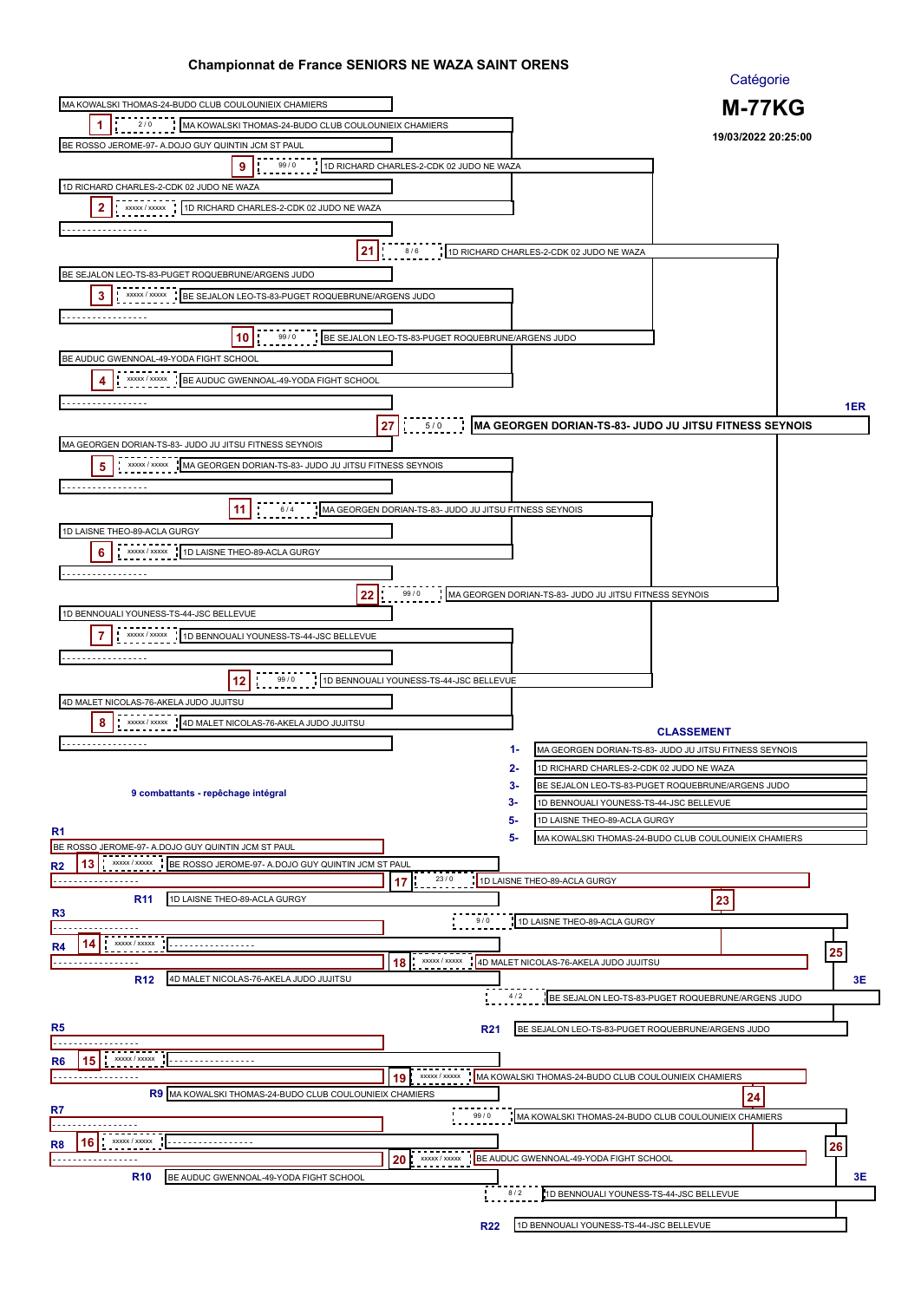|                                                                                                    |                                                        |                                                        | Catégorie                                              |     |
|----------------------------------------------------------------------------------------------------|--------------------------------------------------------|--------------------------------------------------------|--------------------------------------------------------|-----|
| MA KOWALSKI THOMAS-24-BUDO CLUB COULOUNIEIX CHAMIERS                                               |                                                        |                                                        | <b>M-77KG</b>                                          |     |
| 2/0<br>1<br>MA KOWALSKI THOMAS-24-BUDO CLUB COULOUNIEIX CHAMIERS                                   |                                                        |                                                        |                                                        |     |
| BE ROSSO JEROME-97- A DOJO GUY QUINTIN JCM ST PAUL                                                 |                                                        |                                                        | 19/03/2022 20:25:00                                    |     |
| 9<br>99/0                                                                                          | 1D RICHARD CHARLES-2-CDK 02 JUDO NE WAZA               |                                                        |                                                        |     |
| 1D RICHARD CHARLES-2-CDK 02 JUDO NE WAZA                                                           |                                                        |                                                        |                                                        |     |
| 2<br>xxxxx / xxxxx<br>1D RICHARD CHARLES-2-CDK 02 JUDO NE WAZA                                     |                                                        |                                                        |                                                        |     |
| .                                                                                                  |                                                        |                                                        |                                                        |     |
| 21                                                                                                 | 8/6                                                    | 1D RICHARD CHARLES-2-CDK 02 JUDO NE WAZA               |                                                        |     |
| BE SEJALON LEO-TS-83-PUGET ROQUEBRUNE/ARGENS JUDO                                                  |                                                        |                                                        |                                                        |     |
| 3<br>BE SEJALON LEO-TS-83-PUGET ROQUEBRUNE/ARGENS JUDO<br>XXXXX / XXXXX                            |                                                        |                                                        |                                                        |     |
|                                                                                                    |                                                        |                                                        |                                                        |     |
|                                                                                                    |                                                        |                                                        |                                                        |     |
| 10<br>99/0                                                                                         | BE SEJALON LEO-TS-83-PUGET ROQUEBRUNE/ARGENS JUDO      |                                                        |                                                        |     |
| BE AUDUC GWENNOAL-49-YODA FIGHT SCHOOL                                                             |                                                        |                                                        |                                                        |     |
| XXXXX / XXXXX<br>BE AUDUC GWENNOAL-49-YODA FIGHT SCHOOL<br>4                                       |                                                        |                                                        |                                                        |     |
| .                                                                                                  |                                                        |                                                        |                                                        | 1ER |
|                                                                                                    | 27<br>5/0                                              |                                                        | MA GEORGEN DORIAN-TS-83- JUDO JU JITSU FITNESS SEYNOIS |     |
| MA GEORGEN DORIAN-TS-83- JUDO JU JITSU FITNESS SEYNOIS                                             |                                                        |                                                        |                                                        |     |
| XXXXX / XXXXX<br>5<br>MA GEORGEN DORIAN-TS-83- JUDO JU JITSU FITNESS SEYNOIS                       |                                                        |                                                        |                                                        |     |
| .                                                                                                  |                                                        |                                                        |                                                        |     |
| -11<br>6/4                                                                                         | MA GEORGEN DORIAN-TS-83- JUDO JU JITSU FITNESS SEYNOIS |                                                        |                                                        |     |
| 1D LAISNE THEO-89-ACLA GURGY                                                                       |                                                        |                                                        |                                                        |     |
| XXXXX / XXXXX<br>6<br>1D LAISNE THEO-89-ACLA GURGY                                                 |                                                        |                                                        |                                                        |     |
|                                                                                                    |                                                        |                                                        |                                                        |     |
| .                                                                                                  |                                                        |                                                        |                                                        |     |
| 22                                                                                                 | 99/0                                                   | MA GEORGEN DORIAN-TS-83- JUDO JU JITSU FITNESS SEYNOIS |                                                        |     |
| 1D BENNOUALI YOUNESS-TS-44-JSC BELLEVUE                                                            |                                                        |                                                        |                                                        |     |
| 7<br>XXXXX / XXXXX<br>1D BENNOUALI YOUNESS-TS-44-JSC BELLEVUE                                      |                                                        |                                                        |                                                        |     |
| .                                                                                                  |                                                        |                                                        |                                                        |     |
| 99 / 0<br>12                                                                                       | 1D BENNOUALI YOUNESS-TS-44-JSC BELLEVUE                |                                                        |                                                        |     |
| 4D MALET NICOLAS-76-AKELA JUDO JUJITSU                                                             |                                                        |                                                        |                                                        |     |
| 8<br>4D MALET NICOLAS-76-AKELA JUDO JUJITSU<br>XXXXX / XXXXX                                       |                                                        |                                                        | <b>CLASSEMENT</b>                                      |     |
| .                                                                                                  |                                                        | 1-                                                     | MA GEORGEN DORIAN-TS-83- JUDO JU JITSU FITNESS SEYNOIS |     |
|                                                                                                    |                                                        | 2-<br>1D RICHARD CHARLES-2-CDK 02 JUDO NE WAZA         |                                                        |     |
| 9 combattants - repêchage intégral                                                                 |                                                        | 3-                                                     | BE SEJALON LEO-TS-83-PUGET ROQUEBRUNE/ARGENS JUDO      |     |
|                                                                                                    |                                                        | 3-<br>1D BENNOUALI YOUNESS-TS-44-JSC BELLEVUE          |                                                        |     |
| R <sub>1</sub>                                                                                     |                                                        | 5-<br>1D LAISNE THEO-89-ACLA GURGY                     |                                                        |     |
| BE ROSSO JEROME-97- A.DOJO GUY QUINTIN JCM ST PAUL                                                 |                                                        | 5-                                                     | MA KOWALSKI THOMAS-24-BUDO CLUB COULOUNIEIX CHAMIERS   |     |
| 13<br><b>XXXXX / XXXXX</b><br>BE ROSSO JEROME-97- A.DOJO GUY QUINTIN JCM ST PAUL<br>R <sub>2</sub> |                                                        |                                                        |                                                        |     |
| .                                                                                                  | 23/0<br>17                                             | 1D LAISNE THEO-89-ACLA GURGY                           |                                                        |     |
| 1D LAISNE THEO-89-ACLA GURGY<br><b>R11</b><br>R <sub>3</sub>                                       |                                                        |                                                        | 23                                                     |     |
|                                                                                                    | 9/0                                                    | 1D LAISNE THEO-89-ACLA GURGY                           |                                                        |     |
| XXXXX / XXXXX<br>R4                                                                                |                                                        |                                                        |                                                        |     |
| .                                                                                                  | xxxxx / xxxxx<br>18                                    | 4D MALET NICOLAS-76-AKELA JUDO JUJITSU                 |                                                        | 25  |
| <b>R12</b><br>4D MALET NICOLAS-76-AKELA JUDO JUJITSU                                               |                                                        |                                                        |                                                        | 3E  |
|                                                                                                    |                                                        | 4/2                                                    | BE SEJALON LEO-TS-83-PUGET ROQUEBRUNE/ARGENS JUDO      |     |
| R5                                                                                                 | <b>R21</b>                                             | BE SEJALON LEO-TS-83-PUGET ROQUEBRUNE/ARGENS JUDO      |                                                        |     |
|                                                                                                    |                                                        |                                                        |                                                        |     |
| XXXXX / XXXXX<br>R6<br>15                                                                          |                                                        |                                                        |                                                        |     |
|                                                                                                    | xxxxx / xxxxx<br>19                                    | MA KOWALSKI THOMAS-24-BUDO CLUB COULOUNIEIX CHAMIERS   |                                                        |     |
| R9 MA KOWALSKI THOMAS-24-BUDO CLUB COULOUNIEIX CHAMIERS<br>R7                                      |                                                        |                                                        | 24                                                     |     |
|                                                                                                    | 99/0                                                   | MA KOWALSKI THOMAS-24-BUDO CLUB COULOUNIEIX CHAMIERS   |                                                        |     |
| XXXXX / XXXXX<br>16<br>R8<br><u>.</u>                                                              |                                                        |                                                        |                                                        | 26  |
| . <u>.</u> .                                                                                       | XXXXX / XXXXX<br>20                                    | BE AUDUC GWENNOAL-49-YODA FIGHT SCHOOL                 |                                                        |     |
| <b>R10</b><br>BE AUDUC GWENNOAL-49-YODA FIGHT SCHOOL                                               |                                                        |                                                        |                                                        | 3Е  |
|                                                                                                    |                                                        | 8/2<br>1D BENNOUALI YOUNESS-TS-44-JSC BELLEVUE         |                                                        |     |
|                                                                                                    | <b>R22</b>                                             | 1D BENNOUALI YOUNESS-TS-44-JSC BELLEVUE                |                                                        |     |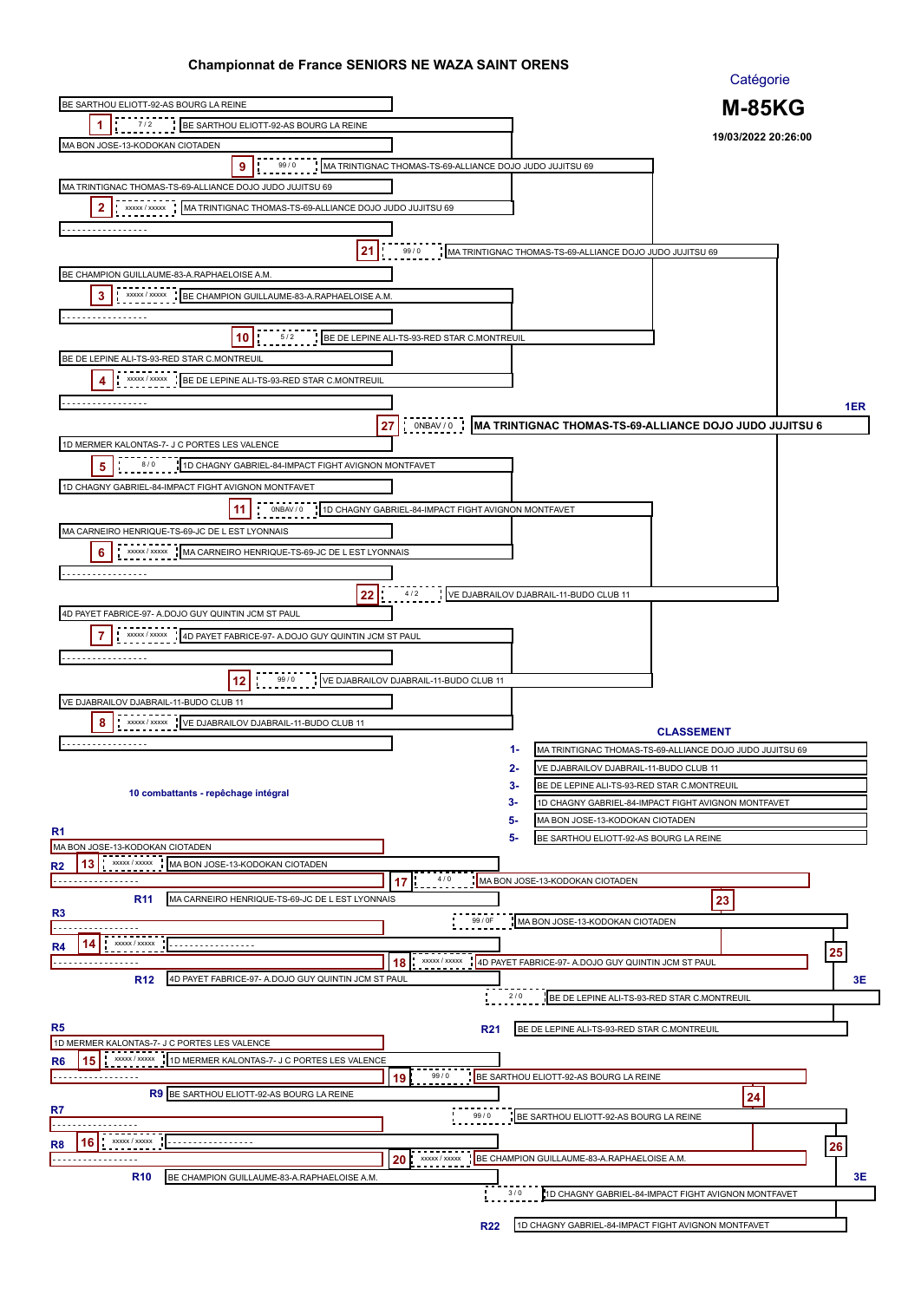|                                                                                                               | Catégorie                                                                  |
|---------------------------------------------------------------------------------------------------------------|----------------------------------------------------------------------------|
| BE SARTHOU ELIOTT-92-AS BOURG LA REINE                                                                        | <b>M-85KG</b>                                                              |
| 1<br>7/2<br>BE SARTHOU ELIOTT-92-AS BOURG LA REINE                                                            |                                                                            |
| MA BON JOSE-13-KODOKAN CIOTADEN                                                                               | 19/03/2022 20:26:00                                                        |
| 9<br>99/0                                                                                                     | MA TRINTIGNAC THOMAS-TS-69-ALLIANCE DOJO JUDO JUJITSU 69                   |
|                                                                                                               |                                                                            |
| MA TRINTIGNAC THOMAS-TS-69-ALLIANCE DOJO JUDO JUJITSU 69                                                      |                                                                            |
| 2<br>XXXXX / XXXXX<br>MA TRINTIGNAC THOMAS-TS-69-ALLIANCE DOJO JUDO JUJITSU 69                                |                                                                            |
| .                                                                                                             |                                                                            |
| 21<br>99/0                                                                                                    | MA TRINTIGNAC THOMAS-TS-69-ALLIANCE DOJO JUDO JUJITSU 69                   |
| BE CHAMPION GUILLAUME-83-A.RAPHAELOISE A.M.                                                                   |                                                                            |
| 3<br>BE CHAMPION GUILLAUME-83-A.RAPHAELOISE A.M.<br>XXXXX / XXXXX                                             |                                                                            |
|                                                                                                               |                                                                            |
|                                                                                                               |                                                                            |
| BE DE LEPINE ALI-TS-93-RED STAR C.MONTREUIL<br>10<br>5/2                                                      |                                                                            |
| BE DE LEPINE ALI-TS-93-RED STAR C.MONTREUIL                                                                   |                                                                            |
| XXXXX / XXXXX<br>BE DE LEPINE ALI-TS-93-RED STAR C.MONTREUIL<br>4                                             |                                                                            |
|                                                                                                               |                                                                            |
|                                                                                                               | 1ER                                                                        |
| ONBAV / 0<br>27                                                                                               | MA TRINTIGNAC THOMAS-TS-69-ALLIANCE DOJO JUDO JUJITSU 6                    |
| 1D MERMER KALONTAS-7- J C PORTES LES VALENCE                                                                  |                                                                            |
| 8/0<br>5<br>1D CHAGNY GABRIEL-84-IMPACT FIGHT AVIGNON MONTFAVET                                               |                                                                            |
| 1D CHAGNY GABRIEL-84-IMPACT FIGHT AVIGNON MONTFAVET                                                           |                                                                            |
| -11<br>ONBAV / 0                                                                                              | 1D CHAGNY GABRIEL-84-IMPACT FIGHT AVIGNON MONTFAVET                        |
|                                                                                                               |                                                                            |
| MA CARNEIRO HENRIQUE-TS-69-JC DE L EST LYONNAIS                                                               |                                                                            |
| XXXXX / XXXXX<br>6<br>MA CARNEIRO HENRIQUE-TS-69-JC DE L EST LYONNAIS                                         |                                                                            |
| .                                                                                                             |                                                                            |
| 22<br>4/2                                                                                                     | VE DJABRAILOV DJABRAIL-11-BUDO CLUB 11                                     |
| 4D PAYET FABRICE-97- A.DOJO GUY QUINTIN JCM ST PAUL                                                           |                                                                            |
| 7<br>XXXXX / XXXXX<br>4D PAYET FABRICE-97- A.DOJO GUY QUINTIN JCM ST PAUL                                     |                                                                            |
|                                                                                                               |                                                                            |
| .                                                                                                             |                                                                            |
| 99 / 0<br>12<br>VE DJABRAILOV DJABRAIL-11-BUDO CLUB 11                                                        |                                                                            |
| VE DJABRAILOV DJABRAIL-11-BUDO CLUB 11                                                                        |                                                                            |
| 8<br>VE DJABRAILOV DJABRAIL-11-BUDO CLUB 11<br>XXXXX / XXXXX                                                  | <b>CLASSEMENT</b>                                                          |
| .                                                                                                             | 1-<br>MA TRINTIGNAC THOMAS-TS-69-ALLIANCE DOJO JUDO JUJITSU 69             |
|                                                                                                               | 2-<br>VE DJABRAILOV DJABRAIL-11-BUDO CLUB 11                               |
|                                                                                                               | 3-<br>BE DE LEPINE ALI-TS-93-RED STAR C.MONTREUIL                          |
| 10 combattants - repêchage intégral                                                                           | 3-<br>1D CHAGNY GABRIEL-84-IMPACT FIGHT AVIGNON MONTFAVET                  |
|                                                                                                               | 5-<br>MA BON JOSE-13-KODOKAN CIOTADEN                                      |
| R <sub>1</sub>                                                                                                | 5-<br>BE SARTHOU ELIOTT-92-AS BOURG LA REINE                               |
| MA BON JOSE-13-KODOKAN CIOTADEN                                                                               |                                                                            |
| 13<br>XXXXX / XXXXX<br>MA BON JOSE-13-KODOKAN CIOTADEN<br>R <sub>2</sub>                                      |                                                                            |
| .<br>17                                                                                                       | MA BON JOSE-13-KODOKAN CIOTADEN<br>4/0                                     |
| MA CARNEIRO HENRIQUE-TS-69-JC DE L EST LYONNAIS<br><b>R11</b><br>R <sub>3</sub>                               | 23                                                                         |
|                                                                                                               | 99 / 0F<br>MA BON JOSE-13-KODOKAN CIOTADEN                                 |
| XXXXX / XXXXX<br><br>R4                                                                                       |                                                                            |
| 18<br>.                                                                                                       | 25<br>4D PAYET FABRICE-97- A.DOJO GUY QUINTIN JCM ST PAUL<br>XXXXX / XXXXX |
| <b>R12</b><br>4D PAYET FABRICE-97- A.DOJO GUY QUINTIN JCM ST PAUL                                             | 3E                                                                         |
|                                                                                                               | 2/0<br>BE DE LEPINE ALI-TS-93-RED STAR C.MONTREUIL                         |
|                                                                                                               |                                                                            |
| R5                                                                                                            | <b>R21</b><br>BE DE LEPINE ALI-TS-93-RED STAR C.MONTREUIL                  |
| 1D MERMER KALONTAS-7- J C PORTES LES VALENCE<br>XXXXX / XXXXX<br>1D MERMER KALONTAS-7- J C PORTES LES VALENCE |                                                                            |
| R6<br>15<br>99/0                                                                                              | BE SARTHOU ELIOTT-92-AS BOURG LA REINE                                     |
| 19<br>R9 BE SARTHOU ELIOTT-92-AS BOURG LA REINE                                                               |                                                                            |
| R7                                                                                                            | 24                                                                         |
|                                                                                                               | 99/0<br>BE SARTHOU ELIOTT-92-AS BOURG LA REINE                             |
| XXXXX / XXXXX<br>R8<br>16<br><u>.</u>                                                                         | 26                                                                         |
| XXXXX / XXXXX<br>20<br>. <u>.</u>                                                                             | BE CHAMPION GUILLAUME-83-A.RAPHAELOISE A.M.                                |
| <b>R10</b><br>BE CHAMPION GUILLAUME-83-A.RAPHAELOISE A.M.                                                     | 3Е                                                                         |
|                                                                                                               | 3/0<br>1D CHAGNY GABRIEL-84-IMPACT FIGHT AVIGNON MONTFAVET                 |
|                                                                                                               |                                                                            |
|                                                                                                               | <b>R22</b><br>1D CHAGNY GABRIEL-84-IMPACT FIGHT AVIGNON MONTFAVET          |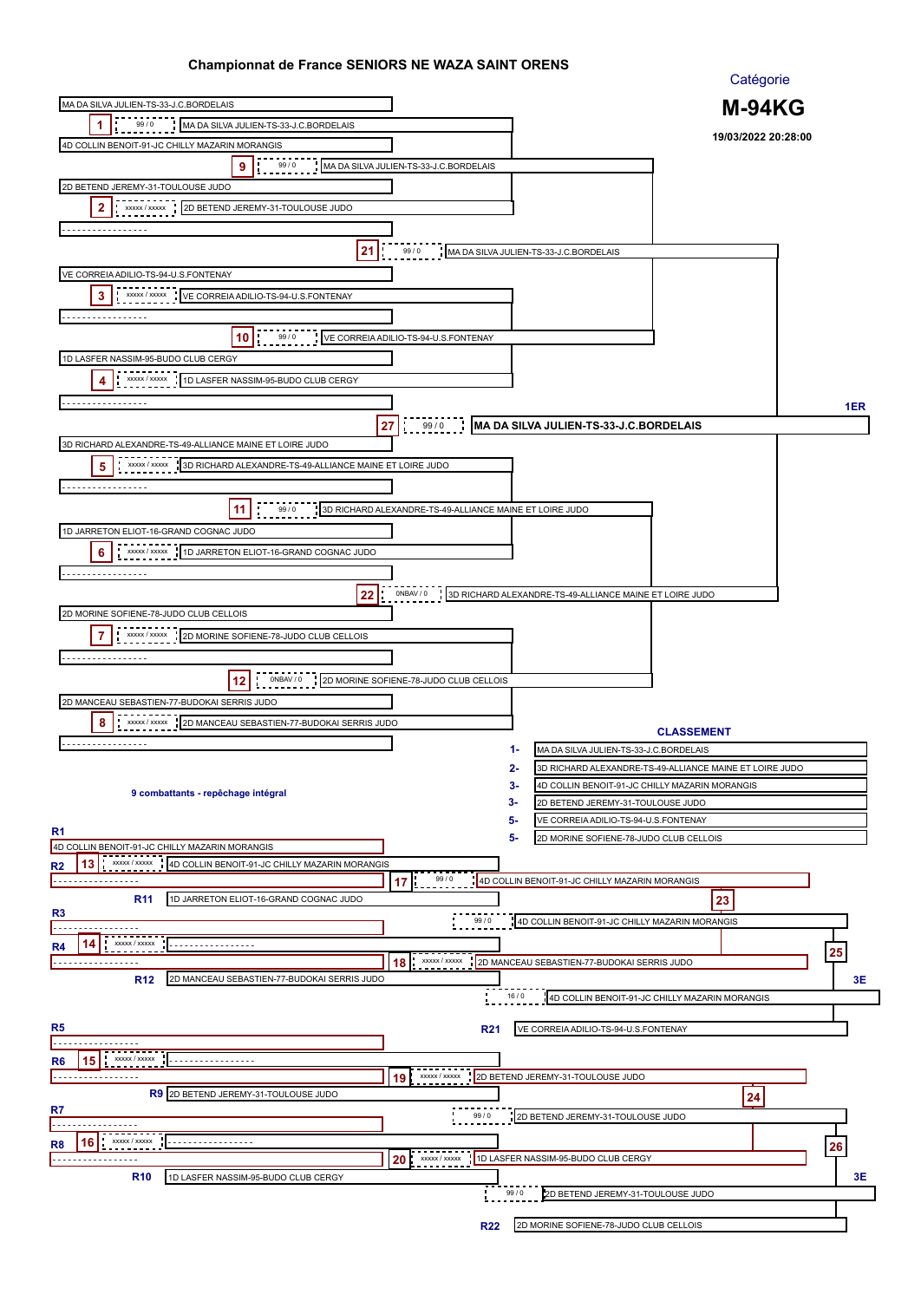| <u> Shahipionnat as Fianos SENio</u>                                          |                                                         |                                                            | Catégorie                                               |     |
|-------------------------------------------------------------------------------|---------------------------------------------------------|------------------------------------------------------------|---------------------------------------------------------|-----|
| MA DA SILVA JULIEN-TS-33-J.C.BORDELAIS                                        |                                                         |                                                            | <b>M-94KG</b>                                           |     |
| 99/0<br>1<br>MA DA SILVA JULIEN-TS-33-J.C.BORDELAIS                           |                                                         |                                                            |                                                         |     |
| 4D COLLIN BENOIT-91-JC CHILLY MAZARIN MORANGIS                                |                                                         |                                                            | 19/03/2022 20:28:00                                     |     |
| 99/0<br>9                                                                     | MA DA SILVA JULIEN-TS-33-J.C.BORDELAIS                  |                                                            |                                                         |     |
| 2D BETEND JEREMY-31-TOULOUSE JUDO                                             |                                                         |                                                            |                                                         |     |
|                                                                               |                                                         |                                                            |                                                         |     |
| 2<br>xxxxx / xxxxx<br>2D BETEND JEREMY-31-TOULOUSE JUDO                       |                                                         |                                                            |                                                         |     |
| <u>.</u>                                                                      |                                                         |                                                            |                                                         |     |
| 21                                                                            | 99/0                                                    | MA DA SILVA JULIEN-TS-33-J.C.BORDELAIS                     |                                                         |     |
| VE CORREIA ADILIO-TS-94-U.S.FONTENAY                                          |                                                         |                                                            |                                                         |     |
| $\cdot$ xxxxx / xxxxx<br>3<br>VE CORREIA ADILIO-TS-94-U.S.FONTENAY            |                                                         |                                                            |                                                         |     |
| .                                                                             |                                                         |                                                            |                                                         |     |
| 99/0                                                                          |                                                         |                                                            |                                                         |     |
| 10                                                                            | VE CORREIA ADILIO-TS-94-U.S.FONTENAY                    |                                                            |                                                         |     |
| 1D LASFER NASSIM-95-BUDO CLUB CERGY                                           |                                                         |                                                            |                                                         |     |
| XXXXX / XXXXX<br>1D LASFER NASSIM-95-BUDO CLUB CERGY<br>4                     |                                                         |                                                            |                                                         |     |
| .                                                                             |                                                         |                                                            |                                                         | 1ER |
|                                                                               | 99/0<br>27                                              | MA DA SILVA JULIEN-TS-33-J.C.BORDELAIS                     |                                                         |     |
| 3D RICHARD ALEXANDRE-TS-49-ALLIANCE MAINE ET LOIRE JUDO                       |                                                         |                                                            |                                                         |     |
| XXXXX / XXXXX<br>3D RICHARD ALEXANDRE-TS-49-ALLIANCE MAINE ET LOIRE JUDO<br>5 |                                                         |                                                            |                                                         |     |
| .                                                                             |                                                         |                                                            |                                                         |     |
|                                                                               |                                                         |                                                            |                                                         |     |
| 11<br>99/0                                                                    | 3D RICHARD ALEXANDRE-TS-49-ALLIANCE MAINE ET LOIRE JUDO |                                                            |                                                         |     |
| 1D JARRETON ELIOT-16-GRAND COGNAC JUDO                                        |                                                         |                                                            |                                                         |     |
| 6<br>XXXXX / XXXXX<br>1D JARRETON ELIOT-16-GRAND COGNAC JUDO                  |                                                         |                                                            |                                                         |     |
| .                                                                             |                                                         |                                                            |                                                         |     |
| 22                                                                            | ONBAV / 0                                               | 3D RICHARD ALEXANDRE-TS-49-ALLIANCE MAINE ET LOIRE JUDO    |                                                         |     |
| 2D MORINE SOFIENE-78-JUDO CLUB CELLOIS                                        |                                                         |                                                            |                                                         |     |
| 7<br>xxxxx / xxxxx                                                            |                                                         |                                                            |                                                         |     |
| 2D MORINE SOFIENE-78-JUDO CLUB CELLOIS                                        |                                                         |                                                            |                                                         |     |
|                                                                               |                                                         |                                                            |                                                         |     |
| ONBAV / 0<br>12                                                               | 2D MORINE SOFIENE-78-JUDO CLUB CELLOIS                  |                                                            |                                                         |     |
| 2D MANCEAU SEBASTIEN-77-BUDOKAI SERRIS JUDO                                   |                                                         |                                                            |                                                         |     |
| 8<br>XXXXX / XXXXX<br>2D MANCEAU SEBASTIEN-77-BUDOKAI SERRIS JUDO             |                                                         |                                                            | <b>CLASSEMENT</b>                                       |     |
|                                                                               |                                                         | 1-<br>MA DA SILVA JULIEN-TS-33-J.C.BORDELAIS               |                                                         |     |
|                                                                               |                                                         |                                                            |                                                         |     |
|                                                                               |                                                         | 2-<br>3-<br>4D COLLIN BENOIT-91-JC CHILLY MAZARIN MORANGIS | 3D RICHARD ALEXANDRE-TS-49-ALLIANCE MAINE ET LOIRE JUDO |     |
| 9 combattants - repêchage intégral                                            |                                                         | 3-<br>2D BETEND JEREMY-31-TOULOUSE JUDO                    |                                                         |     |
|                                                                               |                                                         | 5-<br>VE CORREIA ADILIO-TS-94-U.S.FONTENAY                 |                                                         |     |
| R <sub>1</sub>                                                                |                                                         | 5-<br>2D MORINE SOFIENE-78-JUDO CLUB CELLOIS               |                                                         |     |
| 4D COLLIN BENOIT-91-JC CHILLY MAZARIN MORANGIS<br>XXXXX / XXXXX               |                                                         |                                                            |                                                         |     |
| 4D COLLIN BENOIT-91-JC CHILLY MAZARIN MORANGIS<br>13<br>R2<br>.               | 99/0                                                    | 4D COLLIN BENOIT-91-JC CHILLY MAZARIN MORANGIS             |                                                         |     |
| 1D JARRETON ELIOT-16-GRAND COGNAC JUDO<br><b>R11</b>                          | 17                                                      |                                                            | 23                                                      |     |
| R <sub>3</sub>                                                                |                                                         |                                                            |                                                         |     |
|                                                                               | 99/0                                                    | 4D COLLIN BENOIT-91-JC CHILLY MAZARIN MORANGIS             |                                                         |     |
| XXXXX / XXXXX<br>R4<br>14<br><u></u>                                          |                                                         |                                                            |                                                         | 25  |
| .                                                                             | XXXXX / XXXXX<br>18                                     | 2D MANCEAU SEBASTIEN-77-BUDOKAI SERRIS JUDO                |                                                         |     |
| <b>R12</b><br>2D MANCEAU SEBASTIEN-77-BUDOKAI SERRIS JUDO                     |                                                         |                                                            |                                                         | 3Е  |
|                                                                               |                                                         | 16/0                                                       | 4D COLLIN BENOIT-91-JC CHILLY MAZARIN MORANGIS          |     |
| R5                                                                            | <b>R21</b>                                              | VE CORREIA ADILIO-TS-94-U.S.FONTENAY                       |                                                         |     |
|                                                                               |                                                         |                                                            |                                                         |     |
| XXXXX / XXXXX<br>R6<br>15                                                     |                                                         |                                                            |                                                         |     |
| .                                                                             | XXXXX / XXXXX<br>19                                     | 2D BETEND JEREMY-31-TOULOUSE JUDO                          |                                                         |     |
| R9 2D BETEND JEREMY-31-TOULOUSE JUDO                                          |                                                         |                                                            | 24                                                      |     |
| R7                                                                            | 99/0                                                    | 2D BETEND JEREMY-31-TOULOUSE JUDO                          |                                                         |     |
| XXXXX / XXXXX<br>16<br>.                                                      |                                                         |                                                            |                                                         |     |
| R8                                                                            | XXXXX / XXXXX<br>20                                     | 1D LASFER NASSIM-95-BUDO CLUB CERGY                        |                                                         | 26  |
| <b>R10</b><br>1D LASFER NASSIM-95-BUDO CLUB CERGY                             |                                                         |                                                            |                                                         | 3Е  |
|                                                                               |                                                         | 99/0<br>2D BETEND JEREMY-31-TOULOUSE JUDO                  |                                                         |     |
|                                                                               |                                                         |                                                            |                                                         |     |
|                                                                               | <b>R22</b>                                              | 2D MORINE SOFIENE-78-JUDO CLUB CELLOIS                     |                                                         |     |